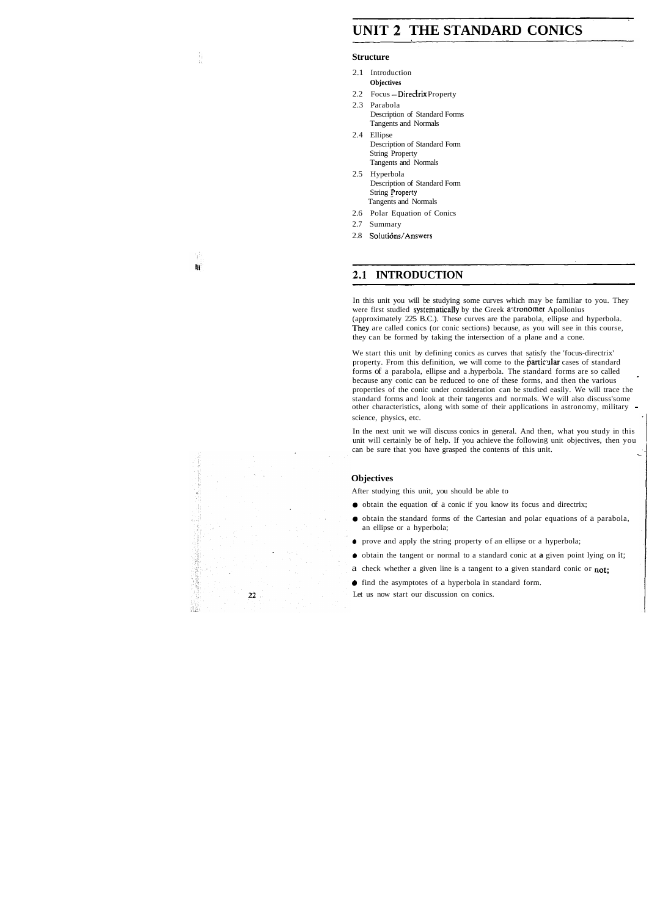# **UNIT 2 THE STANDARD CONICS**

#### **Structure**

- 2.1 Introduction **Objectives**
- 2.2 Focus  $-\text{Directrix Property}$
- 2.3 Parabola Description of Standard Forms Tangents and Normals
- 2.4 Ellipse Description of Standard Form String Property Tangents and Normals
- 2.5 Hyperbola Description of Standard Form String Property Tangents and Normals
- 2.6 Polar Equation of Conics
- 2.7 Summary

鞩

2.8 Solutions/Answers

### 2.1 INTRODUCTION

In this unit you will be studying some curves which may be familiar to you. They were first studied systematically by the Greek astronomer Apollonius (approximately 225 B.C.). These curves are the parabola, ellipse and hyperbola. They are called conics (or conic sections) because, as you will see in this course, they can be formed by taking the intersection of a plane and a cone.

In the next unit we will discuss conics in general. And then, what you study in this unit will certainly be of help. If you achieve the following unit objectives, then you can be sure that you have grasped the contents of this unit.

We start this unit by defining conics as curves that satisfy the 'focus-directrix' property. From this definition, we will come to the particular cases of standard forms of a parabola, ellipse and a .hyperbola. The standard forms are so called because any conic can be reduced to one of these forms, and then the various properties of the conic under consideration can be studied easily. We will trace the standard forms and look at their tangents and normals. We will also discuss'some other characteristics, along with some of their applications in astronomy, military science, physics, etc.

#### **Objectives**

After studying this unit, you should be able to

- **a** obtain the equation of a conic if you know its focus and directrix;
- **a** obtain the standard forms of the Cartesian and polar equations of a parabola, an ellipse or a hyperbola;
- **a** prove and apply the string property of an ellipse or a hyperbola;
- **a** obtain the tangent or normal to a standard conic at **a** given point lying on it;
- a check whether a given line is a tangent to a given standard conic or not;
- **a** find the asymptotes of a hyperbola in standard form.

Let us now start our discussion on conics.

 $22$ 

鼠盖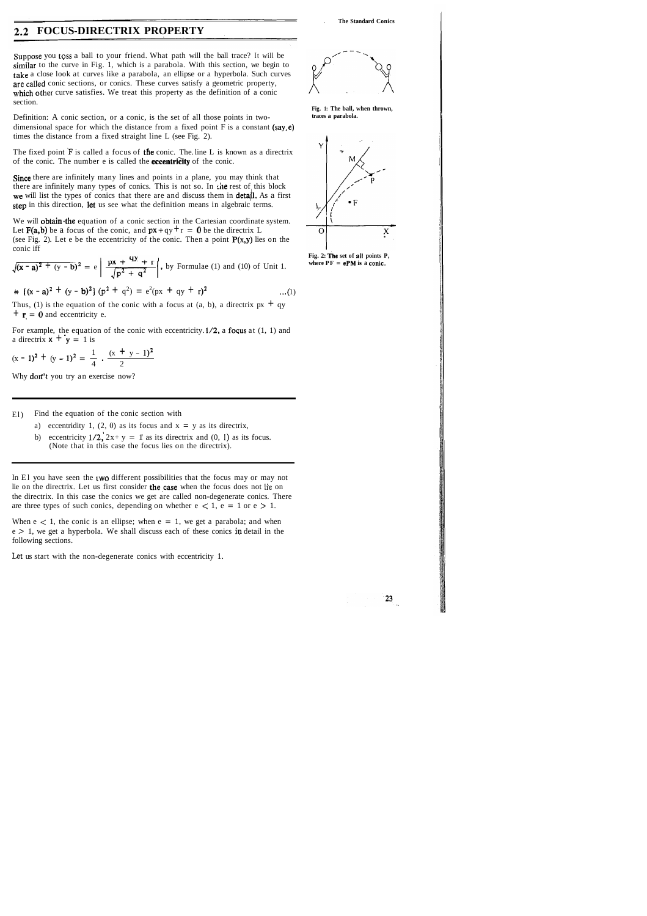. **The Standard Conics** 

## **FOCUS-DIRECTRIX PROPERTY**

Suppose you toss a ball to your friend. What path will the ball trace? It will be similar to the curve in Fig. 1, which is a parabola. With this section, we begin to take a close look at curves like a parabola, an ellipse or a hyperbola. Such curves are called conic sections, or conics. These curves satisfy a geometric property, which other curve satisfies. We treat this property as the definition of a conic section.

The fixed point **'F** is called a focus of the conic. The. line L is known as a directrix of the conic. The number e is called the **eccentricity** of the conic.

Since there are infinitely many lines and points in a plane, you may think that there are infinitely many types of conics. This is not so. In :he rest of this block we will list the types of conics that there are and discuss them in detail. As a first step in this direction, let us see what the definition means in algebraic terms.

Definition: A conic section, or a conic, is the set of all those points in twodimensional space for which the distance from a fixed point  $F$  is a constant (say, e) times the distance from a fixed straight line L (see Fig. 2).

We will **obtain** the equation of a conic section in the Cartesian coordinate system. Let  $F(a,b)$  be a focus of the conic, and  $px+qy+r = 0$  be the directrix L (see Fig. 2). Let e be the eccentricity of the conic. Then a point  $P(x,y)$  lies on the conic iff

For example, the equation of the conic with eccentricity. l/2, a foqus at (1, 1) and a directrix  $x + y = 1$  is

- a) eccentridity 1, (2, 0) as its focus and  $x = y$  as its directrix,
- b) eccentricity  $1/2$ ,  $2x+y = 1$  as its directrix and (0, 1) as its focus. (Note that in this case the focus lies on the directrix).

In El you have seen the two different possibilities that the focus may or may not lie on the directrix. Let us first consider the case when the focus does not lie on the directrix. In this case the conics we get are called non-degenerate conics. There are three types of such conics, depending on whether  $e \le 1$ ,  $e = 1$  or  $e > 1$ .



**Fig. 2: The set of all points P,**  where  $PF = ePM$  is a conic.

23

When  $e < 1$ , the conic is an ellipse; when  $e = 1$ , we get a parabola; and when  $e > 1$ , we get a hyperbola. We shall discuss each of these conics in detail in the following sections.

conic iff  
\n
$$
\sqrt{(x-a)^2 + (y-b)^2} = e \left( \frac{px + 4y + r}{\sqrt{p^2 + q^2}} \right), \text{ by Formulae (1) and (10) of Unit 1.}
$$

 $\Rightarrow$  {(x - a)<sup>2</sup> + (y - b)<sup>2</sup>} (p<sup>2</sup> + q<sup>2</sup>) = e<sup>2</sup>(px + qy + r)<sup>2</sup> ...(1)

Thus, (1) is the equation of the conic with a focus at (a, b), a directrix  $px + qy$  $\mathbf{r} = \mathbf{0}$  and eccentricity e.

a directrix 
$$
\mathbf{X} + \mathbf{y} = 1
$$
 is  
 $(x - 1)^2 + (y - 1)^2 = \frac{1}{4} \cdot \frac{(x + y - 1)^2}{2}$ 

Why **don't** you try an exercise now?

El) Find the equation of the conic section with

**Fig. 1: The ball, when thrown, traces a parabola.** 

Let us start with the non-degenerate conics with eccentricity 1.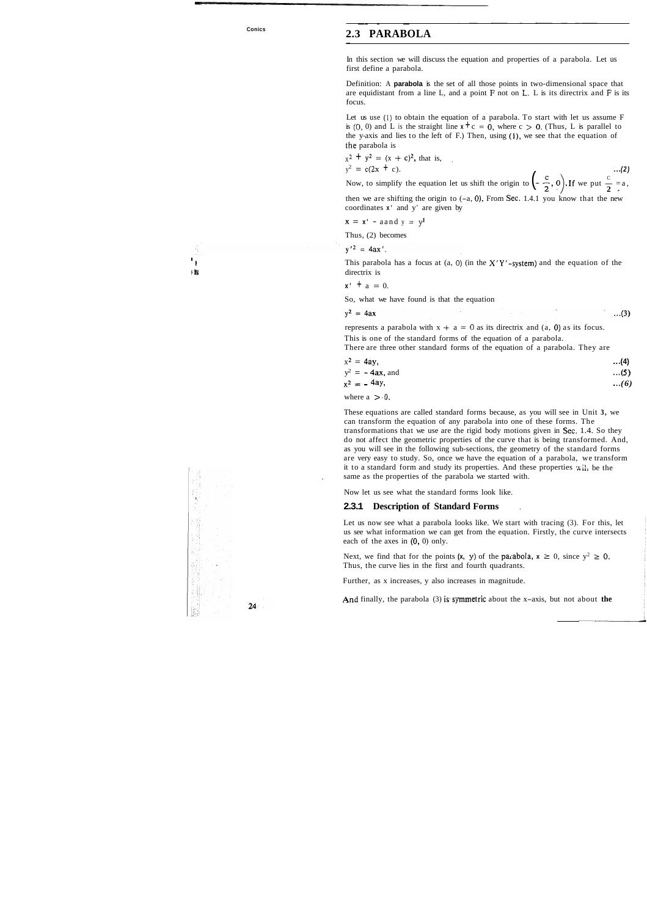#### **Conics**

-- - -

### **2.3 PARABOLA** -

In this section we will discuss the equation and properties of a parabola. Let us first define a parabola.

Definition: A **parabola** is the set of all those points in two-dimensional space that are equidistant from a line L, and a point F not on L. L is its directrix and **F** is its focus.

then we are shifting the origin to  $(-a, 0)$ . From Sec. 1.4.1 you know that the new coordinates **x'** and y' are given by

Let us use (I) to obtain the equation of a parabola. To start with let us assume F is (0, 0) and L is the straight line  $x + c = 0$ , where  $c > 0$ . (Thus, L is parallel to the y-axis and lies to the left of F.) Then, using (I), we see that the equation of the parabola is

$$
x^{2} + y^{2} = (x + c)^{2}
$$
, that is,  
\n
$$
y^{2} = c(2x + c).
$$
...(2)  
\nNow, to simplify the equation let us shift the origin to  $\left(-\frac{c}{2}, 0\right)$ . If we put  $\frac{c}{2} = a$ ,

$$
x = x' - a \text{ and } y = y^1
$$

Thus, (2) becomes

 $y'^2 = 4ax'$ .

This parabola has a focus at (a, 0) (in the  $X'Y'$ -system) and the equation of the **i, #I** directrix is

I

$$
x' + a = 0.
$$

So, what we have found is that the equation

 $y^2 = 4ax$  $...(3)$ 

represents a parabola with  $x + a = 0$  as its directrix and  $(a, 0)$  as its focus.

Next, we find that for the points  $(x, y)$  of the parabola,  $x \ge 0$ , since  $y^2 \ge 0$ . Thus, the curve lies in the first and fourth quadrants.

This is one of the standard forms of the equation of a parabola. There are three other standard forms of the equation of a parabola. They are

| $x^2 = 4ay$ ,      | $\dots(4)$ |
|--------------------|------------|
| $y^2 = -4ax$ , and | $\dots(5)$ |
| $x^2 = -4ay$ ,     | (6)        |

where  $a > 0$ .

These equations are called standard forms because, as you will see in Unit **3,** we can transform the equation of any parabola into one of these forms. The transformations that we use are the rigid body motions given in Sec. 1.4. So they do not affect the geometric properties of the curve that is being transformed. And, as you will see in the following sub-sections, the geometry of the standard forms are very easy to study. So, once we have the equation of a parabola, we transform it to a standard form and study its properties. And these properties  $\ddot{v}$ ,  $\ddot{v}$  be the . same as the properties of the parabola we started with.

Now let us see what the standard forms look like.

#### **2.3.1 Description of Standard Forms** .

Let us now see what a parabola looks like. We start with tracing (3). For this, let us see what information we can get from the equation. Firstly, the curve intersects each of the axes in (0, 0) only.

Further, as x increases, y also increases in magnitude.

And finally, the parabola (3) is symmetric about the x-axis, but not about the

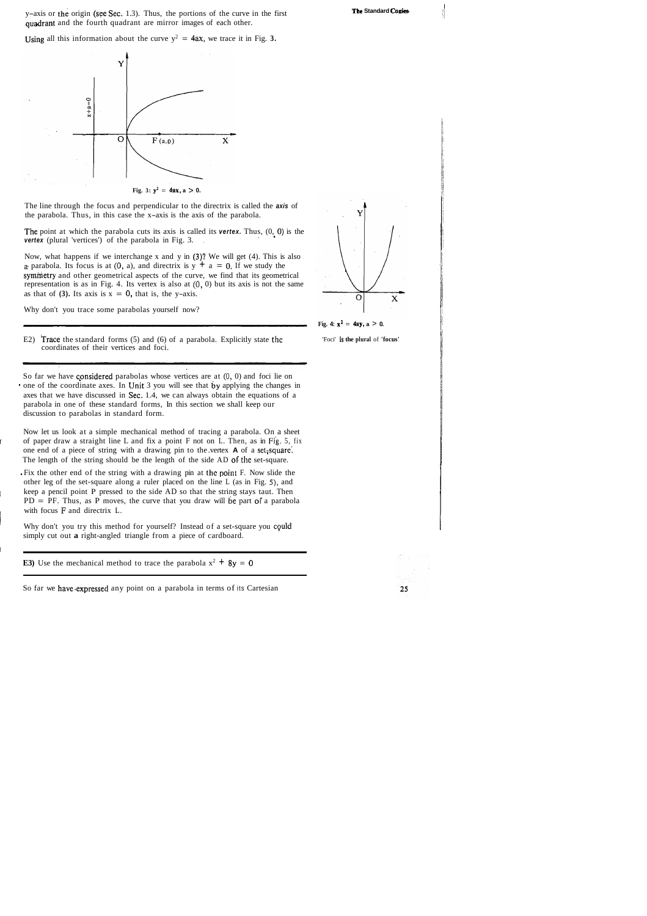y-axis or the origin (see Sec. 1.3). Thus, the portions of the curve in the first quadrant and the fourth quadrant are mirror images of each other.

Using all this information about the curve  $y^2 = 4ax$ , we trace it in Fig. 3.



\*I

**The Standard Conles-**



Now, what happens if we interchange x and y in (3)? We will get (4). This is also *a* parabola. Its focus is at (0, a), and directrix is  $y + a = 0$ . If we study the symhietry and other geometrical aspects of the curve, we find that its geometrical representation is as in Fig. 4. Its vertex is also at **(0,** 0) but its axis is not the same as that of **(3).** Its axis is  $x = 0$ , that is, the y-axis.

The line through the focus and perpendicular to the directrix is called the **axis** of the parabola. Thus, in this case the x-axis is the axis of the parabola.

The point at which the parabola cuts its axis is called its **vertex**. Thus,  $(0, 0)$  is the **vertex** (plural 'vertices') of the parabola in Fig. 3.

E2) Trace the standard forms  $(5)$  and  $(6)$  of a parabola. Explicitly state the coordinates of their vertices and foci.

So far we have considered parabolas whose vertices are at  $(0, 0)$  and foci lie on one of the coordinate axes. In Unit 3 you will see that by applying the changes in axes that we have discussed in Sec. 1.4, we can always obtain the equations of a parabola in one of these standard forms, In this section we shall keep our discussion to parabolas in standard form.

a Fix the other end of the string with a drawing pin at the point F. Now slide the other leg of the set-square along a ruler placed on the line L (as in Fig. **5),** and keep a pencil point P pressed to the side AD so that the string stays taut. Then  $PD = PF$ . Thus, as P moves, the curve that you draw will be part of a parabola with focus **F** and directrix L.

Why don't you trace some parabolas yourself now?

Why don't you try this method for yourself? Instead of a set-square you could simply cut out **a** right-angled triangle from a piece of cardboard.

**E3**) Use the mechanical method to trace the parabola  $x^2 + 8y = 0$ 

Now let us look at a simple mechanical method of tracing a parabola. On a sheet of paper draw a straight line L and fix a point F not on L. Then, as in Fig. 5, fix one end of a piece of string with a drawing pin to the .vertex **A** of a set,square: The length of the string should be the length of the side AD OF the set-square.

I

So far we have expressed any point on a parabola in terms of its Cartesian



**Fig. 4:**  $x^2 = 4ay$ ,  $a > 0$ .

'Foci' **is the plural** of **'focus'** 

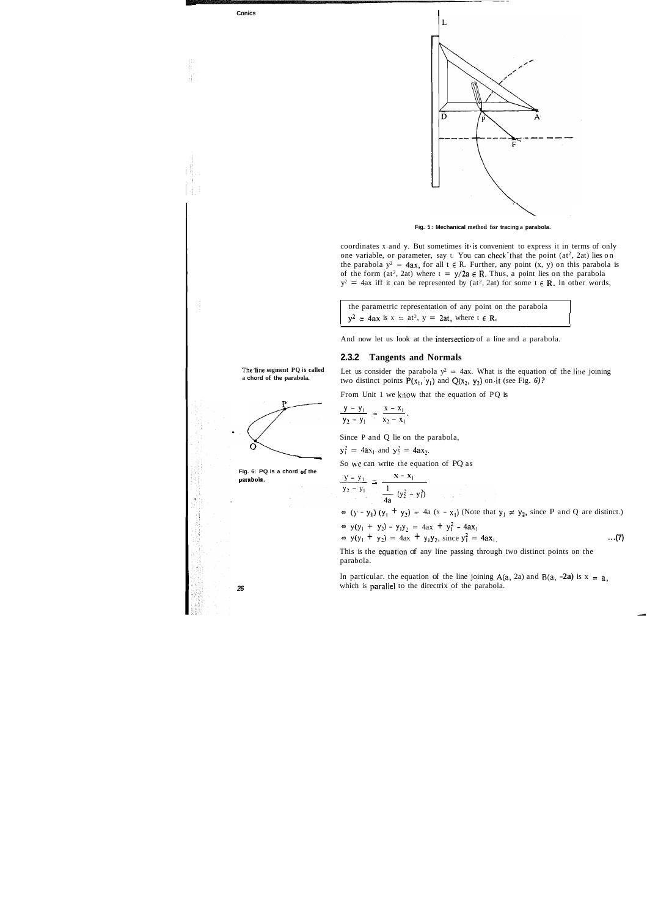





coordinates x and y. But sometimes it is convenient to express it in terms of only one variable, or parameter, say t. You can check that the point  $(at^2, 2at)$  lies on the parabola  $y^2 = 4ax$ , for all  $t \in R$ . Further, any point  $(x, y)$  on this parabola is of the form  $(at^2, 2at)$  where  $t = y/2a \in \mathbb{R}$ . Thus, a point lies on the parabola  $y^2 = 4ax$  iff it can be represented by (at<sup>2</sup>, 2at) for some  $t \in \mathbb{R}$ . In other words,

the parametric representation of any point on the parabola  $y^2 = 4ax$  is  $x = at^2$ ,  $y = 2at$ , where  $t \in \mathbb{R}$ .

And now let us look at the intersection of a line and a parabola.

**The.line segment PQ is called a chord of the parabola.** 

Since P and Q lie on the parabola,

$$
y_1^2 = 4ax_1
$$
 and  $y_2^2 = 4ax_2$ .

So we can write the equation of PQ as

### **2.3.2 Tangents and Normals**

Let us consider the parabola  $y^2 = 4ax$ . What is the equation of the line joining two distinct points  $P(x_1, y_1)$  and  $Q(x_2, y_2)$  on it (see Fig. 6)?

From Unit 1 we know that the equation of PQ is

$$
\frac{y - y_1}{y_2 - y_1} = \frac{x - x_1}{x_2 - x_1}.
$$

In particular. the equation of the line joining  $A(a, 2a)$  and  $B(a, -2a)$  is  $x = a$ , **<sup>26</sup>**which is paraliel to the directrix of the parabola.

Fig. 6: PQ is a chord of the parabola.

\n
$$
\frac{y - y_1}{y_2 - y_1} = \frac{x - x_1}{\frac{1}{4a} (y_2^2 - y_1^2)}
$$
\n
$$
\Rightarrow (y - y_1) (y_1 + y_2) = 4a (x - x_1) \text{ (Note that } y_1 \neq y_2 \text{, since } P \text{ and } Q \text{ are distinct.)}
$$
\n
$$
\Rightarrow y(y_1 + y_2) - y_1 y_2 = 4ax + y_1^2 - 4ax_1
$$
\n
$$
\Rightarrow y(y_1 + y_2) = 4ax + y_1 y_2 \text{, since } y_1^2 = 4ax_1
$$
\n...(7)

This is the equation of any line passing through two distinct points on the parabola.

/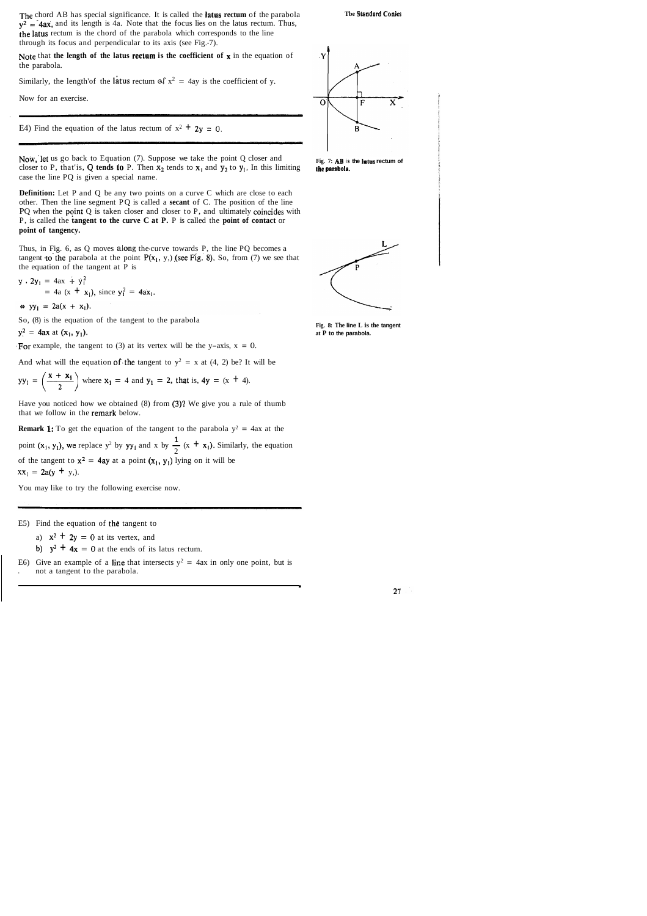The chord AB has special significance. It is called the **latus rectum** of the parabola  $y^2 = 4ax$ , and its length is 4a. Note that the focus lies on the latus rectum. Thus, the latus rectum is the chord of the parabola which corresponds to the line through its focus and perpendicular to its axis (see Fig.-7).

Note that the length of the latus rectum is the coefficient of **x** in the equation of the parabola. Note the<br>the part<br>Similar<br>Now form

Similarly, the length'of the latus rectum of  $x^2 = 4$ ay is the coefficient of y.

Now, let us go back to Equation  $(7)$ . Suppose we take the point Q closer and closer to P, that'is, Q tends to P. Then  $x_2$  tends to  $x_1$  and  $y_2$  to  $y_1$ . In this limiting case the line PQ is given a special name.

Now for an exercise.

E4) Find the equation of the latus rectum of  $x^2 + 2y = 0$ .

**Definition:** Let P and Q be any two points on a curve C which are close to each other. Then the line segment PQ is called a **secant** of C. The position of the line PQ when the point  $Q$  is taken closer and closer to  $P$ , and ultimately coincides with P, is called the **tangent to the curve C at P.** P is called the **point of contact** or **point of tangency.** 

Have you noticed how we obtained (8) from (3)? We give you a rule of thumb that we follow in the remark below.

**Remark 1:** To get the equation of the tangent to the parabola  $y^2 = 4ax$  at the

point (x<sub>1</sub>, y<sub>1</sub>), we replace y<sup>2</sup> by yy<sub>1</sub> and x by  $\frac{1}{2}$  (x + x<sub>1</sub>). Similarly, the equation of the tangent to  $x^2 = 4ay$  at a point  $(x_1, y_1)$  lying on it will be  $xx_1 = 2a(y + y)$ .

E6) Give an example of a line that intersects  $y^2 = 4ax$  in only one point, but is . not a tangent to the parabola.



Fig. 7: AB is the latus rectum of **the parabola.** 

Thus, in Fig. 6, as Q moves along the-curve towards P, the line PQ becomes a tangent to the parabola at the point  $P(x_1, y_1)$  (see Fig. 8). So, from (7) we see that the equation of the tangent at P is

$$
y \cdot 2y_1 = 4ax + y_1^2
$$
  
= 4a (x + x<sub>1</sub>), since y<sub>1</sub><sup>2</sup> = 4ax<sub>1</sub>.

 $\Leftrightarrow$  yy<sub>1</sub> = 2a(x + x<sub>1</sub>).

So, (8) is the equation of the tangent to the parabola

 $y^2 = 4ax$  at  $(x_1, y_1)$ .

For example, the tangent to (3) at its vertex will be the y-axis,  $x = 0$ .

And what will the equation of the tangent to  $y^2 = x$  at (4, 2) be? It will be

$$
yy_1 = \left(\frac{x + x_1}{2}\right)
$$
 where  $x_1 = 4$  and  $y_1 = 2$ , that is,  $4y = (x + 4)$ .

You may like to try the following exercise now.

E5) Find the equation of the tangent to

a)  $x^2 + 2y = 0$  at its vertex, and

b)  $y^2 + 4x = 0$  at the ends of its latus rectum.

#### **Tbe Stmndard Codes**



**Fig. 8: The line L is the tangent at P to the parabola.**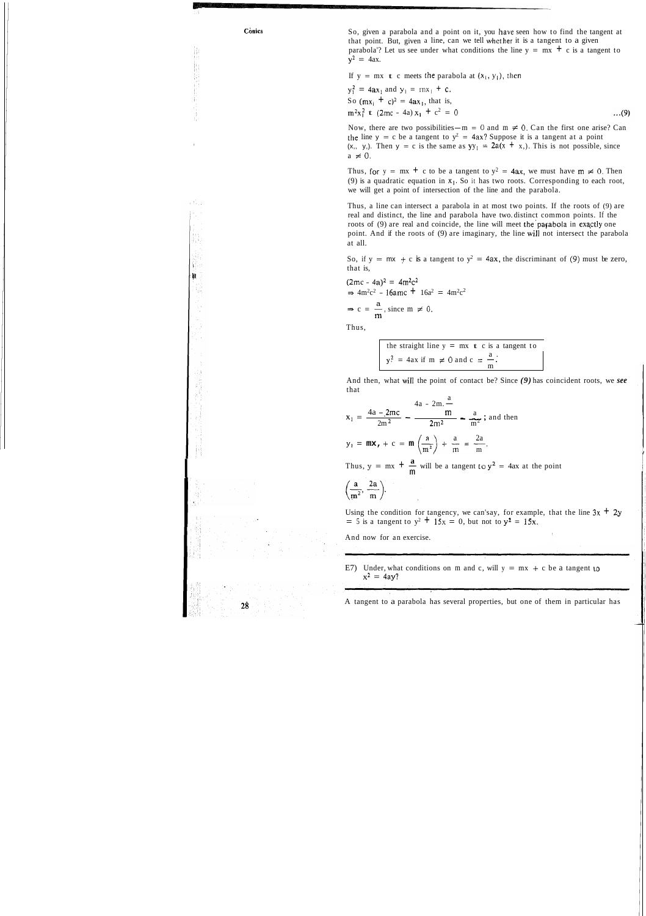à.

28

**conics** So, given a parabola and a point on it, you have seen how to find the tangent at that point. But, given a line, can we tell whcther it is a tangent to a given parabola'? Let us see under what conditions the line  $y = mx + c$  is a tangent to  $y^2 = 4ax$ .

If  $y = mx$  **t** c meets the parabola at  $(x_1, y_1)$ , then

 $y_1^2 = 4ax_1$  and  $y_1 = mx_1 + c$ . So  $(mx_i + c)^2 = 4ax_1$ , that is,  $m^2x_1^2$  **t**  $(2mc - 4a)x_1 + c^2 = 0$  $m^2x_1^2$  **t** (2mc - 4a)  $x_1$  + c<sup>2</sup> = 0<br>Now, there are two possibilities-m = 0 and m  $\neq$  0. Can the first one arise? Can

the line  $y = c$  be a tangent to  $y^z = 4ax$ ? Suppose it is a tangent at a point  $(x, y)$ . Then  $y = c$  is the same as  $yy_1 = 2a(x + x)$ . This is not possible, since  $a \neq 0$ .

Thus, for  $y = mx + c$  to be a tangent to  $y^2 = 4ax$ , we must have  $m \neq 0$ . Then (9) is a quadratic equation in  $x_1$ . So it has two roots. Corresponding to each root, we will get a point of intersection of the line and the parabola.

So, if  $y = mx + c$  is a tangent to  $y^2 = 4ax$ , the discriminant of (9) must be zero, that is,

 $(2mc - 4a)^2 = 4m^2c^2$  $\Rightarrow$  4m<sup>2</sup>c<sup>2</sup> - 16amc + 16a<sup>2</sup> = 4m<sup>2</sup>c<sup>2</sup>

 $\Rightarrow$  c =  $\frac{a}{m}$ , since m  $\neq$  0.

Thus, a line can intersect a parabola in at most two points. If the roots of (9) are real and distinct, the line and parabola have two. distinct common points. If the roots of (9) are real and coincide, the line will meet the parabola in exactly one point. And if the roots of (9) are imaginary, the line wiIl not intersect the parabola at all.

Thus,

the straight line 
$$
y = mx + c
$$
 is a tangent to  
\n $y^2 = 4ax$  if  $m \ne 0$  and  $c = \frac{a}{m}$ .

And then, what wiIl the point of contact be? Since *(9)* has coincident roots, we *see*  that

that  
\n
$$
x_1 = \frac{4a - 2mc}{2m^2} - \frac{m}{2m^2} - \frac{a}{m^2}
$$
\nand then  
\n
$$
y_1 = mx_r + c = m \left(\frac{a}{m^2}\right) + \frac{a}{m} = \frac{2a}{m}.
$$
\nThus,  $y = mx + \frac{a}{m}$  will be a tangent to  $y^2 = 4ax$  at the point  $\left(\frac{a}{m^2}, \frac{2a}{m}\right)$ .

Using the condition for tangency, we can'say, for example, that the line  $3x + 2y$  $= 5$  is a tangent to  $y^2 + 15x = 0$ , but not to  $y^2 = 15x$ .

And now for an exercise.

E7) Under, what conditions on m and c, will  $y = mx + c$  be a tangent to  $x^2 = 4ay?$ 

A tangent to a parabola has several properties, but one of them in particular has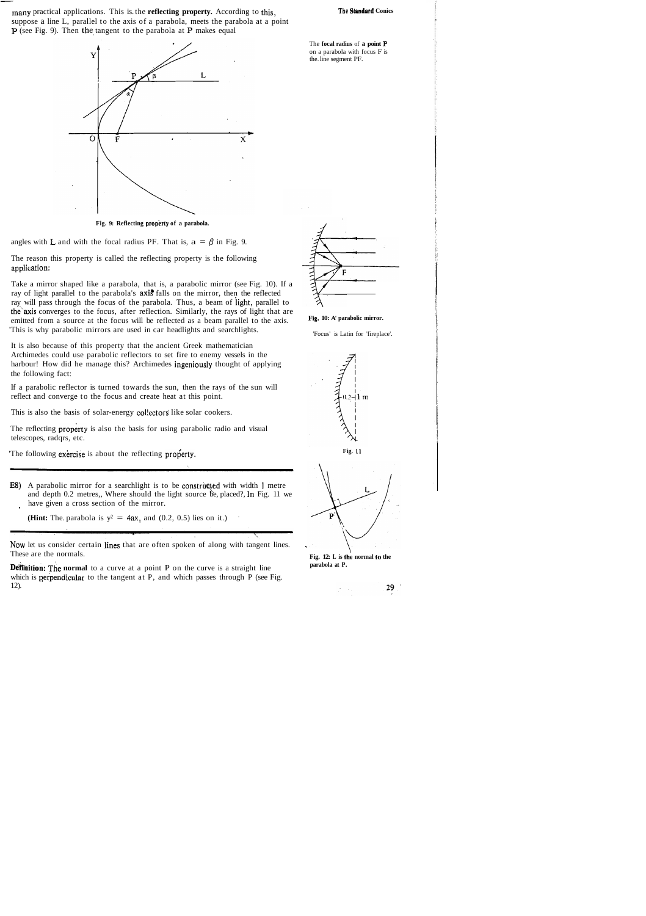many practical applications. This is the **reflecting property.** According to this, The Standard Conics suppose a line L, parallel to the axis of a parabola, meets the parabola at a point  $\overline{P}$  (see Fig. 9). Then the tangent to the parabola at P makes equal



Fig. 9: Reflecting property of a parabola.

angles with L and with the focal radius PF. That is,  $a = \beta$  in Fig. 9.

The reason this property is called the reflecting property is the following application:

Take a mirror shaped like a parabola, that is, a parabolic mirror (see Fig. 10). If a ray of light parallel to the parabola's **axis** falls on the mirror, then the reflected ray will pass through the focus of the parabola. Thus, a beam of iight, parallel to the axis converges to the focus, after reflection. Similarly, the rays of light that are emitted from a source at the focus will be reflected as a beam parallel to the axis. 'This is why parabolic mirrors are used in car headlights and searchlights.

**E8)** A parabolic mirror for a searchlight is to be constructed with width 1 metre and depth 0.2 metres,, Where should the light source be, placed?, In Fig. 11 we have given a cross section of the mirror.

**(Hint:** The. parabola is  $y^2 = 4ax$ , and (0.2, 0.5) lies on it.)

It is also because of this property that the ancient Greek mathematician Archimedes could use parabolic reflectors to set fire to enemy vessels in the harbour! How did he manage this? Archimedes ingeniously thought of applying the following fact:

**Definition:** The normal to a curve at a point P on the curve is a straight line which is **perpendicular** to the tangent at P, and which passes through P (see Fig. 12).

If a parabolic reflector is turned towards the sun, then the rays of the sun will reflect and converge to the focus and create heat at this point.

This is also the basis of solar-energy collectors like solar cookers.

The reflecting property is also the basis for using parabolic radio and visual telescopes, radqrs, etc.

'The following exercise is about the reflecting property.

The **focal radius** of **a point P** on a parabola with focus F is the. line segment PF.

NOW let us consider certain lines that are often spoken of along with tangent lines. These are the normals.



**Fig. 10: A' parabolic mirror.** 

'Focus' is Latin for 'fireplace'.







**parabola at P.** 

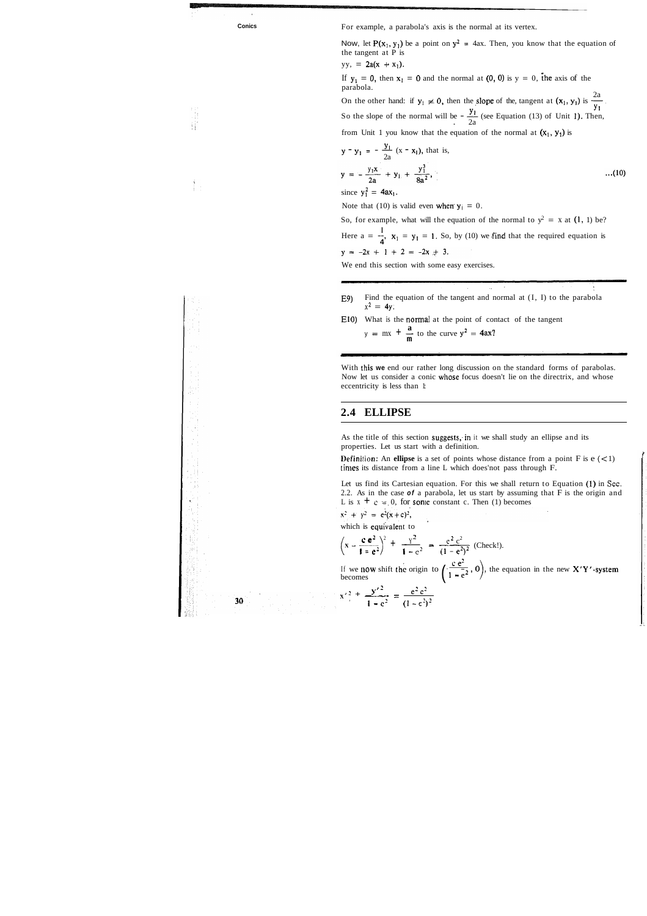Ħ

**Conics For example, a parabola's axis is the normal at its vertex.** 

Now, let P(x<sub>1</sub>, y<sub>1</sub>) be a point on  $y^2 = 4ax$ . Then, you know that the equation of the tangent at P is

If  $y_1 = 0$ , then  $x_1 = 0$  and the normal at (0, 0) is  $y = 0$ , the axis of the parabola.

On the other hand: if  $y_1 \neq 0$ , then the slope of the, tangent at  $(x_1, y_1)$  is  $\frac{2a}{y_1}$ Do the other hand: if  $y_1 \neq 0$ , then the slope of the tangent at  $(x_1, y_1)$  is  $\frac{2a}{y_1}$ .<br>So the slope of the normal will be  $-\frac{y_1}{2a}$  (see Equation (13) of Unit 1). Then, from Unit 1 you know that the equation of the normal at  $(x_1, y_1)$  is

$$
yy, = 2a(x + x_1).
$$

E9) Find the equation of the tangent and normal at (I, I) to the parabola  $x^2 = 4y$ .

EIO) What is the normal at the point of contact of the tangent **a**  What is the normal at the point of con<br>  $y = mx + \frac{a}{m}$  to the curve  $y^2 = 4ax$ ?

from Unit 1 you know that the equation of the normal at 
$$
(x_1, y_1)
$$
 is  
\n
$$
y - y_1 = -\frac{y_1}{2a} (x - x_1), \text{ that is,}
$$
\n
$$
y = -\frac{y_1 x}{2a} + y_1 + \frac{y_1^3}{8a^2}, \qquad ...(10)
$$

since  $y_1^2 = 4ax_1$ .

Note that (10) is valid even when  $y_1 = 0$ .

So, for example, what will the equation of the normal to  $y^2 = x$  at (1, 1) be? Here  $a = \frac{1}{4}$ ,  $x_1 = y_1 = 1$ . So, by (10) we find that the required equation is  $y = -2x + 1 + 2 = -2x + 3.$ 

With this we end our rather long discussion on the standard forms of parabolas. Now let us consider a conic whose focus doesn't lie on the directrix, and whose eccentricity is less than 1:

As the title of this section suggests, in it we shall study an ellipse and its properties. Let us start with a definition.

**Definition:** An **ellipse** is a set of points whose distance from a point  $F$  is  $e \leq 1$ ) times its distance from a line L which does'not pass through F.

Let us find its Cartesian equation. For this we shall return to Equation (I) in **Sec.**  2.2. As in the case **of** a parabola, let us start by assuming that F is the origin and L is  $x + c = 0$ , for some constant c. Then (1) becomes 2.2. As in the case **of** a parabola, let us start by<br>
L is  $x + c = 0$ , for some constant c. Then (1) b<br>  $x^2 + y^2 = e^2(x + c)^2$ ,<br>
which is equivalent to<br>  $\left(x - \frac{c e^2}{1 - e^2}\right)^2 + \frac{y^2}{1 - e^2} = \frac{e^2 c^2}{(1 - e^2)^2}$  (Check!).

 $x'^2 + \frac{y'^2}{\sqrt{2}} = \frac{e^2 c^2}{\sqrt{2}}$ 

 $\frac{1}{1 - e^2} = \frac{1}{(1 - e^2)}$ 

We end this section with some easy exercises.

## **2.4 ELLIPSE**

which is equivalent to  
\n
$$
\left(x - \frac{c e^{2}}{1 - e^{2}}\right)^{2} + \frac{y^{2}}{1 - e^{2}} = \frac{e^{2} c^{2}}{(1 - e^{2})^{2}}
$$
\n(Che

 $(x^2 + y^2 = e^2(x+c)^2)$ ,<br>which is equivalent to  $\left(x - \frac{e^2 e^2}{1 - e^2}\right)^2 + \frac{y^2}{1 - e^2} = \frac{e^2 e^2}{(1 - e^2)^2}$  (Check!).<br>If we now shift the origin to  $\left(\frac{e^2}{1 - e^2}, 0\right)$ , the equation in the new X'Y'-system becomes



30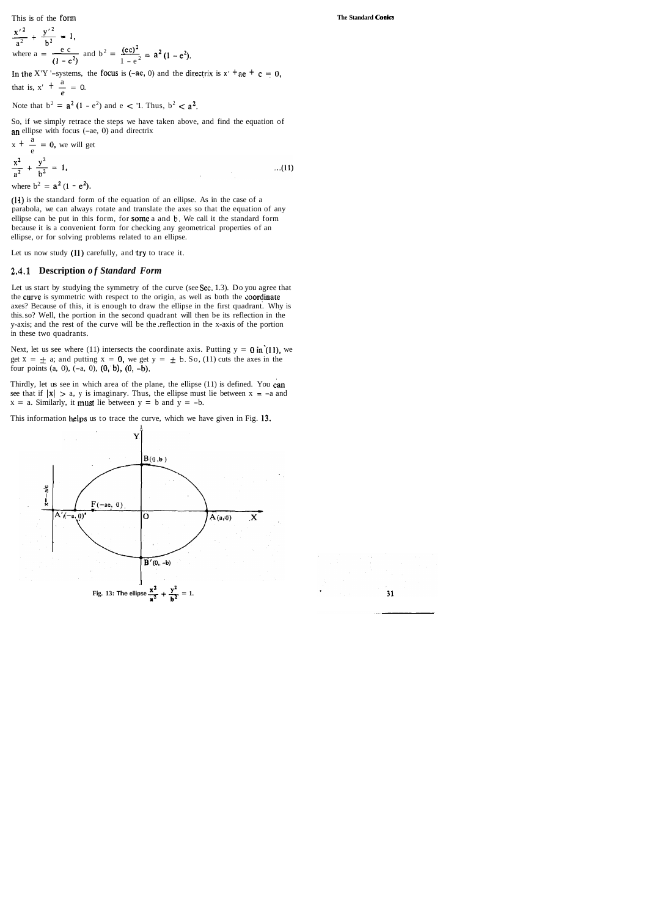This is of the form

This is of the form  
\n
$$
\frac{x'^2}{a^2} + \frac{y'^2}{b^2} = 1,
$$
\nwhere  $a = \frac{e c}{(1 - e^2)}$  and  $b^2 = \frac{(ec)^2}{1 - e^2} = a^2 (1 - e^2).$   
\nIn the X'Y'-systems, the focus is (-ae, 0) and the dire-

In the X'Y '-systems, the focus is (-ae, 0) and the directrix is  $x' + ae + c = 0$ , that is,  $x' + \frac{a}{e} = 0$ . that is  $x' + \frac{a}{a} = 0$ 

Note that 
$$
b^2 = a^2 (1 - e^2)
$$
 and  $e < 1$ . Thus,  $b^2 < a^2$ .

So, if we simply retrace the steps we have taken above, and find the equation of

an ellipse with focus (-ae, 0) and directrix  
\n
$$
x + \frac{a}{e} = 0
$$
, we will get  
\n $\frac{x^2}{a^2} + \frac{y^2}{b^2} = 1$ , ...(11)  
\nwhere  $b^2 = a^2 (1 - e^2)$ .

(11) is the standard form of the equation of an ellipse. As in the case of a parabola, we can always rotate and translate the axes so that the equation of any ellipse can be put in this form, for some a and **b.** We call it the standard form because it is a convenient form for checking any geometrical properties of an ellipse, or for solving problems related to an ellipse.

Let us now study  $(11)$  carefully, and try to trace it.

Thirdly, let us see in which area of the plane, the ellipse (11) is defined. You can see that if  $|x| > a$ , y is imaginary. Thus, the ellipse must lie between  $x = -a$  and  $x = a$ . Similarly, it **must** lie between  $y = b$  and  $y = -b$ .

This information helps us to trace the curve, which we have given in Fig. 13.

### **2.4.1 Description** *of Standard Form*

Let us start by studying the symmetry of the curve (see Sec. 1.3). Do you agree that the curve is symmetric with respect to the origin, as well as both the coordinate axes? Because of this, it is enough to draw the ellipse in the first quadrant. Why is this. so? Well, the portion in the second quadrant will then be its reflection in the y-axis; and the rest of the curve will be the .reflection in the x-axis of the portion in these two quadrants.

Next, let us see where (11) intersects the coordinate axis. Putting  $y = 0$  in (11), we get  $x = \pm a$ ; and putting  $x = 0$ , we get  $y = \pm b$ . So, (11) cuts the axes in the four points  $(a, 0)$ ,  $(-a, 0)$ ,  $(0, b)$ ,  $(0, -b)$ .

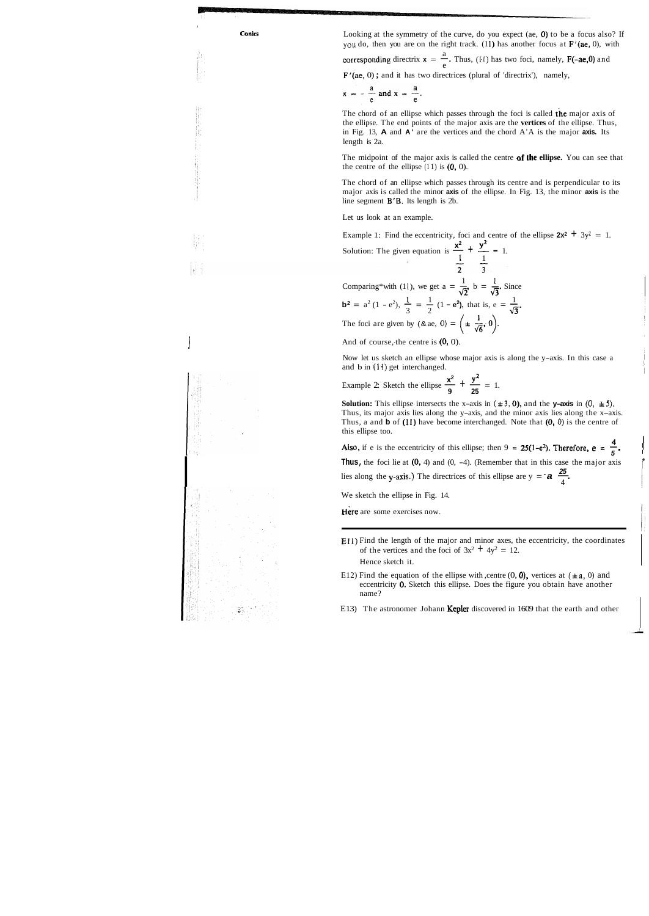I

**Conics Looking at the symmetry of the curve, do you expect (ae, 0) to be a focus also? If** you do, then you are on the right track. (11) has another focus at  $F'(ae, 0)$ , with

a you do, then you are on the right track. (11) has another focus at  $\mathbf{F}'(\mathbf{ae}, 0)$ , wi<br>corresponding directrix  $\mathbf{x} = \frac{a}{e}$ . Thus, (11) has two foci, namely,  $\mathbf{F}(-\mathbf{ae}, 0)$  and

 $F'(ae, 0)$ ; and it has two directrices (plural of 'directrix'), namely,

$$
x = -\frac{a}{e} \text{ and } x = \frac{a}{e}.
$$

The midpoint of the major axis is called the centre **af the ellipse.** You can see that the centre of the ellipse  $(11)$  is  $(0, 0)$ .

The chord of an ellipse which passes through its centre and is perpendicular to its major axis is called the minor **axis** of the ellipse. In Fig. 13, the minor **axis** is the line segment  $B'B$ . Its length is 2b.

The chord of an ellipse which passes through the foci is called the major axis of the ellipse. The end points of the major axis are the **vertices** of the ellipse. Thus, in Fig. 13, **A** and **A'** are the vertices and the chord A'A is the major **axis.** Its length is 2a.

1 **<sup>1</sup>** Comparing\*with (11), we get  $a = \frac{1}{\sqrt{2}}$ ,  $b = \frac{1}{\sqrt{3}}$ . Since **11**), we get  $a = \frac{1}{\sqrt{2}}$ ,  $b = \frac{1}{\sqrt{3}}$ . Since<br> **b**<sup>2</sup> =  $a^2 (1 - e^2)$ ,  $\frac{1}{3} = \frac{1}{2} (1 - e^2)$ , that is,  $e = \frac{1}{\sqrt{3}}$ . The foci are given by  $(8 \text{ ae}, 0) = \left(\pm \frac{1}{\sqrt{6}}, 0\right)$ .

And of course,-the centre is  $(0, 0)$ .

**Solution:** This ellipse intersects the x-axis in  $(\pm 3, 0)$ , and the **y-axis** in  $(0, \pm 5)$ . Thus, its major axis lies along the y-axis, and the minor axis lies along the x-axis. Thus, a and **b** of (11) have become interchanged. Note that (0, **0)** is the centre of this ellipse too.

this ellipse too.<br>
Also, if e is the eccentricity of this ellipse; then  $9 = 25(1-e^2)$ . Therefore,  $e = \frac{4}{5}$ .<br>
Thus, the foci lie at (0, 4) and (0, -4). (Remember that in this case the major axis<br>
lies along the y-axis.)

Let us look at an example.

Example 1: Find the eccentricity, foci and centre of the ellipse  $2x^2 + 3y^2 = 1$ . Example 1: Find the eccentricity, foci and centre<br>Solution: The given equation is  $\frac{x^2}{1} + \frac{y^2}{1} = 1$ .

Now let us sketch an ellipse whose major axis is along the y-axis. In this case a and b in **(14)** get interchanged.

Now let us sketch an ellipse whose major axis i<br>and b in (14) get interchanged.<br>Example 2: Sketch the ellipse  $\frac{x^2}{9} + \frac{y^2}{25} = 1$ .

We sketch the ellipse in Fig. 14.

Here are some exercises now.

It

- E12) Find the equation of the ellipse with ,centre  $(0, 0)$ , vertices at  $(\pm a, 0)$  and eccentricity 0. Sketch this ellipse. Does the figure you obtain have another name?
- E13) The astronomer Johann Kepler discovered in 1609 that the earth and other

**Ell)** Find the length of the major and minor axes, the eccentricity, the coordinates of the vertices and the foci of  $3x^2 + 4y^2 = 12$ . Hence sketch it.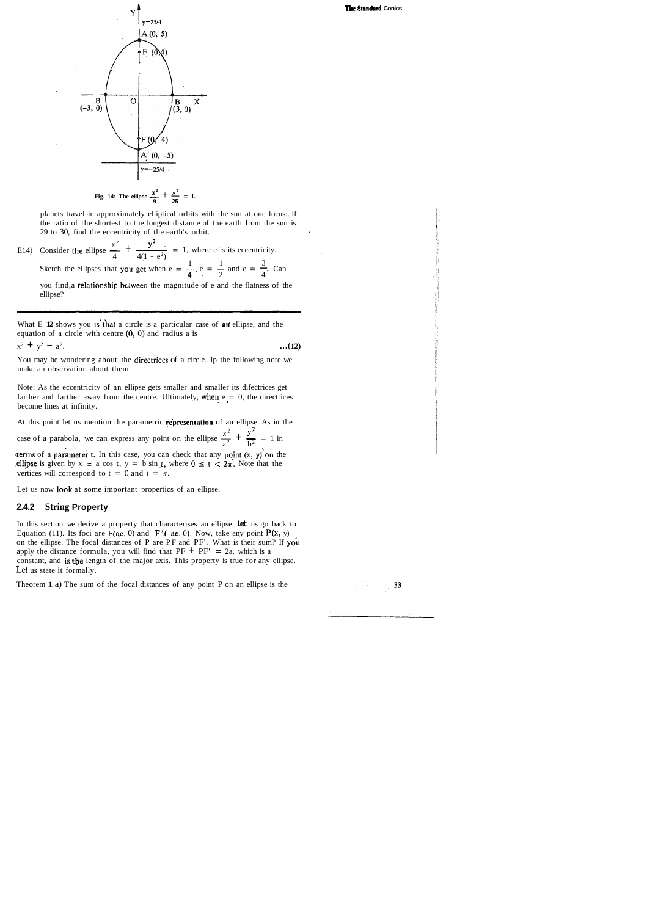#### **The Standud Conics**



planets travel in approximately elliptical orbits with the sun at one focus:. If the ratio of the shortest to the longest distance of the earth from the sun is 29 to 30, find the eccentricity of the earth's orbit. \

the ratio of the shortest to the longest distance of the earth from the sun is<br>
29 to 30, find the eccentricity of the earth's orbit.<br>
E14) Consider the ellipse  $\frac{x^2}{4} + \frac{y^2}{4(1 - e^2)} = 1$ , where e is its eccentricity.  $1 \t 1 \t 3$ Consider the ellipse  $\frac{4}{4}$   $\frac{4(1-e^2)}{4(1-e^2)}$  = 1, where e is its eccentricity.<br>Sketch the ellipses that you get when e =  $\frac{1}{4}$ , e =  $\frac{1}{2}$  and e =  $\frac{3}{4}$ . Can you find, a relationship bclween the magnitude of e and the flatness of the ellipse?

What E 12 shows you is that a circle is a particular case of an ellipse, and the equation of a circle with centre  $(0, 0)$  and radius a is

 $x^2 + y^2 = a^2$ . ...(12)

You may be wondering about the directrices of a circle. Ip the following note we make an observation about them.

Note: As the eccentricity of an ellipse gets smaller and smaller its difectrices get farther and farther away from the centre. Ultimately, when  $e = 0$ , the directrices become lines at infinity.

At this point let us mention the parametric represenration of an ellipse. As in the **xL** y2 At this point let us mention the parametric **representation** of an ellipse. As in t<br>case of a parabola, we can express any point on the ellipse  $\frac{x^2}{a^2} + \frac{y^2}{b^2} = 1$  in

terms of a parameter t. In this case, you can check that any point  $(x, y)$  on the ellipse is given by  $x = a \cos t$ ,  $y = b \sin t$ , where  $0 \le t \le 2\pi$ . Note that the vertices will correspond to  $t = 0$  and  $t = \pi$ .

In this section we derive a property that cliaracterises an ellipse. **Let** us go back to Equation (11). Its foci are  $F(ae, 0)$  and  $F'(-ae, 0)$ . Now, take any point  $P(x, y)$ on the ellipse. The focal distances of P are PF and PF'. What is their sum? If you apply the distance formula, you will find that  $PF + PF' = 2a$ , which is a constant, and is the length of the major axis. This property is true for any ellipse. Let us state it formally.

Let us now look at some important propertics of an ellipse.

#### **2.4.2 String Property**

Theorem 1 a) The sum of the focal distances of any point P on an ellipse is the

33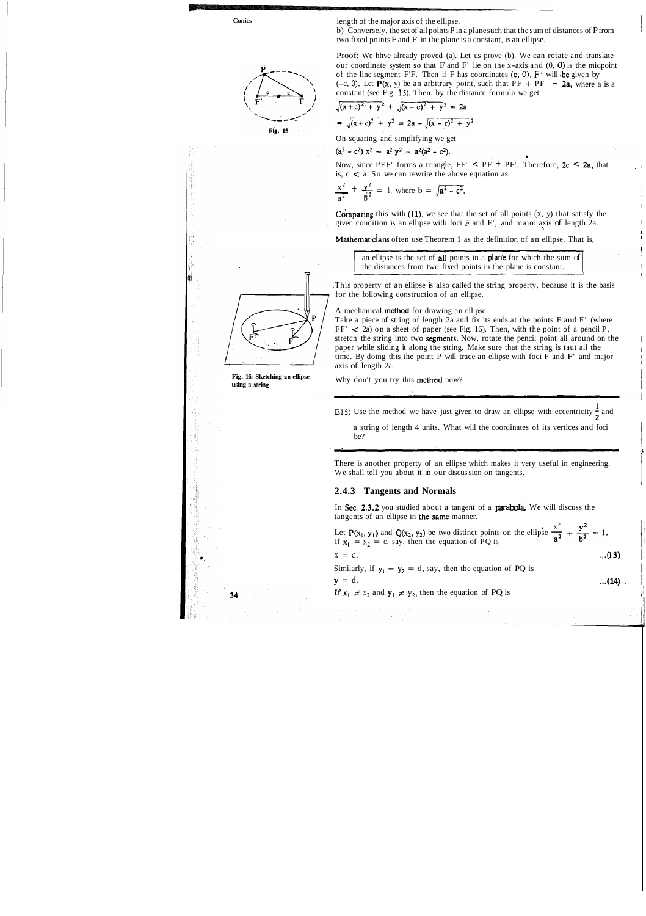**Conics** 



length of the major axis of the ellipse.<br>b) Conversely, the set of all points P in a plane such that the sum of distances of P from two fixed points  $F$  and  $F$  in the plane is a constant, is an ellipse.

$$
\frac{x^2}{a^2} + \frac{y^2}{b^2} = 1
$$
, where  $b = \sqrt{a^2 - c^2}$ .



Proof: We hhve already proved (a). Let us prove (b). We can rotate and translate our coordinate system so that  $F$  and  $F'$  lie on the x-axis and  $(0, 0)$  is the midpoint of the line segment F'F. Then if F has coordinates  $(c, 0)$ , F' will be given by (-c, 0). Let  $P(x, y)$  be an arbitrary point, such that  $PF + PF' = 2a$ , where a is a constant (see Fig. **15).** Then, by the distance formula we get

$$
\sqrt{(x+c)^2 + y^2} + \sqrt{(x-c)^2 + y^2} = 2a
$$
  
\n
$$
\Rightarrow \sqrt{(x+c)^2 + y^2} = 2a - \sqrt{(x-c)^2 + y^2}
$$

 $(a^2 - c^2) x^2 + a^2 y^2 = a^2(a^2 - c^2).$ 

Now, since PFF' forms a triangle, FF' < PF + PF'. Therefore, 2c < 2a, that is, c < a. So we can rewrite the above equation as  $\frac{x^2}{a^2} + \frac{y^2}{b^2} = 1$ , where b =  $\sqrt{a^2 - c^2}$ . is,  $c < a$ . So we can rewrite the above equation as

Comparing this with  $(11)$ , we see that the set of all points  $(x, y)$  that satisfy the given condition is an ellipse with foci **F** and F', and majoi axis of length 2a. <sup>I</sup>

an ellipse is the set of all points in a plane for which the sum of the distances from two fixed points in the plane is constant.

Take a piece of string of length 2a and fix its ends at the points F and F' (where  $FF' < 2a$ ) on a sheet of paper (see Fig. 16). Then, with the point of a pencil P, stretch the string into two segments. Now, rotate the pencil point all around on the paper while sliding it along the string. Make sure that the string is taut all the time. By doing this the point P will trace an ellipse with foci  $F$  and  $F'$  and major axis of length 2a.

Why don't you try this method now?

E15) Use the method we have just given to draw an ellipse with eccentricity  $\frac{1}{2}$  and

**1** 

I

I

.This property of an ellipse is also called the string property, because it is the basis for the following construction of an ellipse.

A mechanical **method** for drawing an ellipse

i

a string of length 4 units. What will the coordinates of its vertices and foci be?

. .

In Sec. 2.3.2 you studied about a tangent of a **parabola**. We will discuss the tangents of an ellipse in the same manner.

 $x^2$ In Sec. 2.3.2 you studied about a tangent of a **parabola**. We will discuss the tangents of an ellipse in the same manner.<br>Let P(x<sub>1</sub>, y<sub>1</sub>) and Q(x<sub>2</sub>, y<sub>2</sub>) be two distinct points on the ellipse  $\frac{x^2}{a^2} + \frac{y^2}{b^2} =$ 

There is another property of an ellipse which makes it very useful in engineering. We shall tell you about it in our discus'sion on tangents.

i

I

**Mathematicians** often use Theorem 1 as the definition of an ellipse. That is,  $\frac{1}{2}$  and  $\frac{1}{2}$  and  $\frac{1}{2}$  and  $\frac{1}{2}$  and  $\frac{1}{2}$  and  $\frac{1}{2}$  and  $\frac{1}{2}$  and  $\frac{1}{2}$  and  $\frac{1}{2}$  and  $\frac{1}{2}$  and  $\frac{1}{2}$  and  $\frac{1}{2}$  and  $\frac{1}{2}$  and  $\frac{1}{2}$  and  $\frac{1}{2}$  and  $\frac{1}{2}$  a

#### **2.4.3 Tangents and Normals**

$$
x = c. \tag{13}
$$

Similarly, if  $y_1 = y_2 = d$ , say, then the equation of PQ is

$$
y = d. \tag{14}
$$

If  $x_1 \neq x_2$  and  $y_1 \neq y_2$ , then the equation of PQ is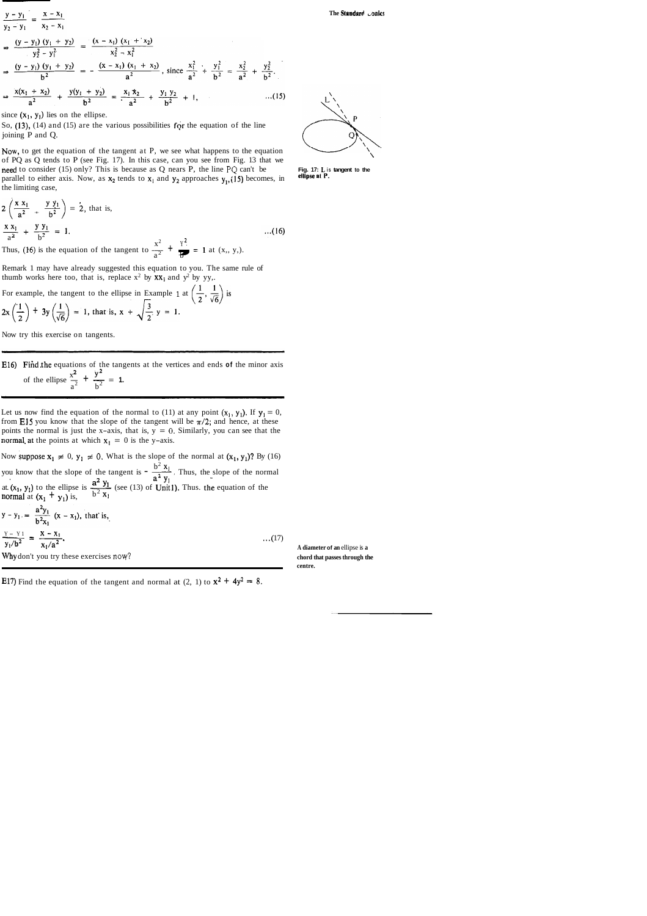$$
\frac{y - y_1}{y_2 - y_1} = \frac{x - x_1}{x_2 - x_1}
$$
\n
$$
\Rightarrow \frac{(y - y_1) (y_1 + y_2)}{y_2^2 - y_1^2} = \frac{(x - x_1) (x_1 + x_2)}{x_2^2 - x_1^2}
$$
\n
$$
\Rightarrow \frac{(y - y_1) (y_1 + y_2)}{b^2} = -\frac{(x - x_1) (x_1 + x_2)}{a^2}, \text{ since } \frac{x_1^2}{a^2} + \frac{y_1^2}{b^2} = \frac{x_2^2}{a^2} + \frac{y_2^2}{b^2}.
$$
\n
$$
\Rightarrow \frac{x(x_1 + x_2)}{a^2} + \frac{y(y_1 + y_2)}{b^2} = \frac{x_1 x_2}{a^2} + \frac{y_1 y_2}{b^2} + 1, \qquad ...(15)
$$

since  $(x_1, y_1)$  lies on the ellipse.

So,  $(13)$ ,  $(14)$  and  $(15)$  are the various possibilities for the equation of the line joining P and Q.

Now, to get the equation of the tangent at P, we see what happens to the equation of PQ as Q tends to P (see Fig. 17). In this case, can you see from Fig. 13 that we need to consider (15) only? This is because as Q nears P, the line PQ can't be **Fig. 17:** *L* is tangent to the parallel to either axis. Now, as X<sub>2</sub> tands to X<sub>2</sub> and X<sub>2</sub> approaches y (15) becomes in ellipse at P. parallel to either axis. Now, as  $x_2$  tends to  $x_1$  and  $y_2$  approaches  $y_1$ , (15) becomes, in the limiting case,

The imit of the tangent to  $\frac{x^2}{a^2} + \frac{y y_1}{b^2} = 1$ .<br>
Thus, (16) is the equation of the tangent to  $\frac{x^2}{a^2} + \frac{y^2}{b^2} = 1$ .<br>
Thus, (16) is the equation of the tangent to  $\frac{x^2}{a^2} + \frac{y^2}{b^2} = 1$  at (x,, y,).<br>
R  $2\left(\frac{x \ x_1}{a^2} + \frac{y \ y_1}{b^2}\right) = 2$ , that is,  $\frac{X X_1}{2} + \frac{Y Y_1}{2} = 1.$  $...(16)$  $a^2$   $b^2$  $x^2$   $y^2$  $a^2$  b

Remark 1 may have already suggested this equation to you. The same rule of thumb works here too, that is, replace  $x^2$  by  $xx_1$  and  $y^2$  by yy,.

For example, the tangent to the ellipse in Example 1 at  $2x\left(\frac{1}{2}\right) + 3y\left(\frac{1}{\sqrt{6}}\right) = 1$ , that is,  $x + \sqrt{\frac{3}{2}}y = 1$ .

E16) Fiid .the equations of the tangents at the vertices and ends **of** the minor axis Find the equations of the tang<br>of the ellipse  $\frac{x^2}{a^2} + \frac{y^2}{b^2} = 1$ .

Let us now find the equation of the normal to (11) at any point  $(x_1, y_1)$ . If  $y_1 = 0$ , from E15 you know that the slope of the tangent will be  $\pi/2$ ; and hence, at these points the normal is just the x-axis, that is,  $y = 0$ . Similarly, you can see that the normal at the points at which  $x_i = 0$  is the y-axis.

Now suppose  $x_1 \neq 0$ ,  $y_1 \neq 0$ . What is the slope of the normal at  $(x_1, y_1)$ ? By (16) you know that the slope of the tangent is  $-\frac{b^2 x_1}{a^2}$ . Thus, the slope of the normal  $a^2$  y<sub>i</sub> at.  $(x_1, y_1)$  to the ellipse is  $\frac{y_1}{b^2}$  (see (13) of Unit1). Thus. the equation of the normal at  $(x_1 + y_1)$  is,  $-2$ 

Now try this exercise on tangents.

$$
y - y_1 = \frac{a - y_1}{b^2 x_1} (x - x_1), \text{ that is,}
$$
  
\n
$$
\frac{y - y_1}{y_1/b^2} = \frac{x - x_1}{x_1/a^2}.
$$
  
\nWhy don't you try these exercises now?  
\n
$$
\frac{y - y_1}{b^2 x_1} = \frac{x - x_1}{x_1/a^2}.
$$
  
\n
$$
\frac{y - y_1}{b^2 x_1} = \frac{x - x_1}{x_1/a^2}.
$$

**centre.** 

E17) Find the equation of the tangent and normal at  $(2, 1)$  to  $x^2 + 4y^2 = 8$ .

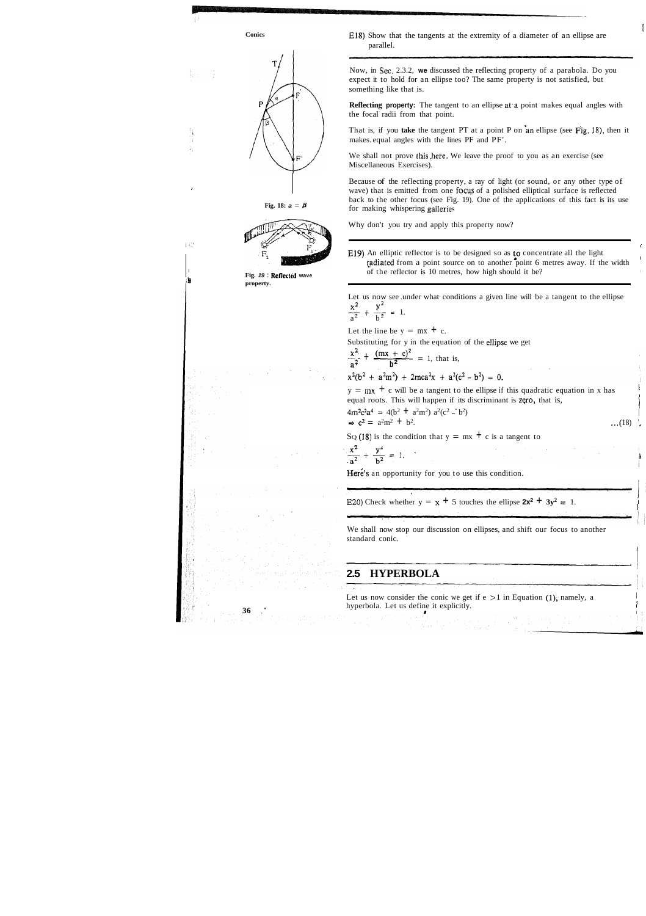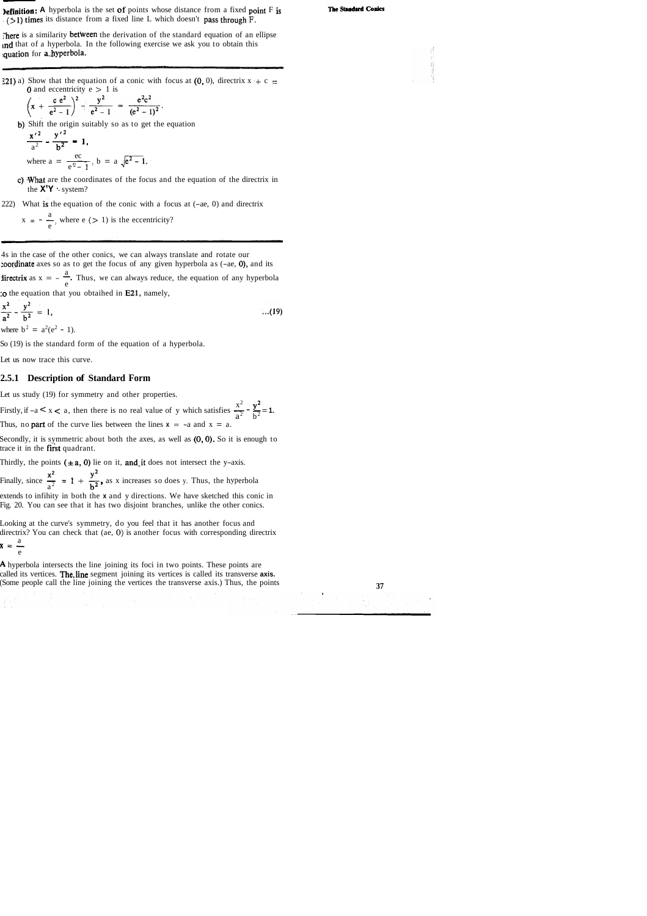### **Definition:** A hyperbola is the set of points whose distance from a fixed point F is  $(51)$  times its distance from a fixed line L which doesn't pass through F.

There is a similarity between the derivation of the standard equation of an ellipse ind that of a hyperbola. In the following exercise we ask you to obtain this quation for a hyperbola.

:21) a) Show that the equation of a conic with focus at (0, 0), directrix  $x + c =$ **0** and eccentricity  $e > 1$  is

$$
\left(x + \frac{c e^2}{e^2 - 1}\right)^2 - \frac{y^2}{e^2 - 1} = \frac{e^2 c^2}{(e^2 - 1)^2}.
$$

b) Shift the origin suitably so as to get the equation

- c) What are the coordinates of the focus and the equation of the directrix in the **X'Y** '- system?
- 222) What is the equation of the conic with a focus at (-ae, 0) and directrix

$$
\frac{x'^2}{a^2} - \frac{y'^2}{b^2} = 1,
$$
  
where  $a = \frac{ec}{e^2 - 1}$ ,  $b = a \sqrt{e^2 - 1}$ .

$$
x = -\frac{a}{e}
$$
, where e (> 1) is the eccentricity?

4s in the case of the other conics, we can always translate and rotate our zoordinate axes so as to get the focus of any given hyperbola as (-ae, O), and its

a coordinate axes so as to get the focus of any given hyperbola as (-ae, 0), and its<br>directrix as  $x = -\frac{a}{e}$ . Thus, we can always reduce, the equation of any hyperbola :o the equation that you obtaihed in E21, namely,

$$
\frac{x^2}{a^2} - \frac{y^2}{b^2} = 1,
$$
...(19)  
where  $b^2 = a^2(e^2 - 1)$ .

So (19) is the standard form of the equation of a hyperbola.

Let us now trace this curve.

### **2.5.1 Description of Standard Form**

Let us study (19) for symmetry and other properties.

Let us study (19) for symmetry and other properties.<br>Firstly, if  $-a < x < a$ , then there is no real value of y which satisfies  $\frac{x^2}{a^2} - \frac{y^2}{b^2} = 1$ . Thus, no **part** of the curve lies between the lines  $x = -a$  and  $x = a$ .

Secondly, it is symmetric about both the axes, as well as  $(0, 0)$ . So it is enough to trace it in the first quadrant.

Thirdly, the points  $(\pm a, 0)$  lie on it, and it does not intersect the y-axis.

Thirdly, the points ( $\pm a$ , 0) lie on it, and it does not intersect the y-axis.<br>Finally, since  $\frac{x^2}{a^2} = 1 + \frac{y^2}{b^2}$ , as x increases so does y. Thus, the hyperbola

extends to infihity in both the **x** and y directions. We have sketched this conic in Fig. 20. You can see that it has two disjoint branches, unlike the other conics.

Looking at the curve's symmetry, do you feel that it has another focus and directrix? You can check that (ae, **0)** is another focus with corresponding directrix  $x = \frac{a}{a}$ e

**A** hyperbola intersects the line joining its foci in two points. These points are called its vertices. The,line segment joining its vertices is called its transverse **axis.**  (Some people call the line joining the vertices the transverse axis.) Thus, the points **37** 



#### The Standard Conics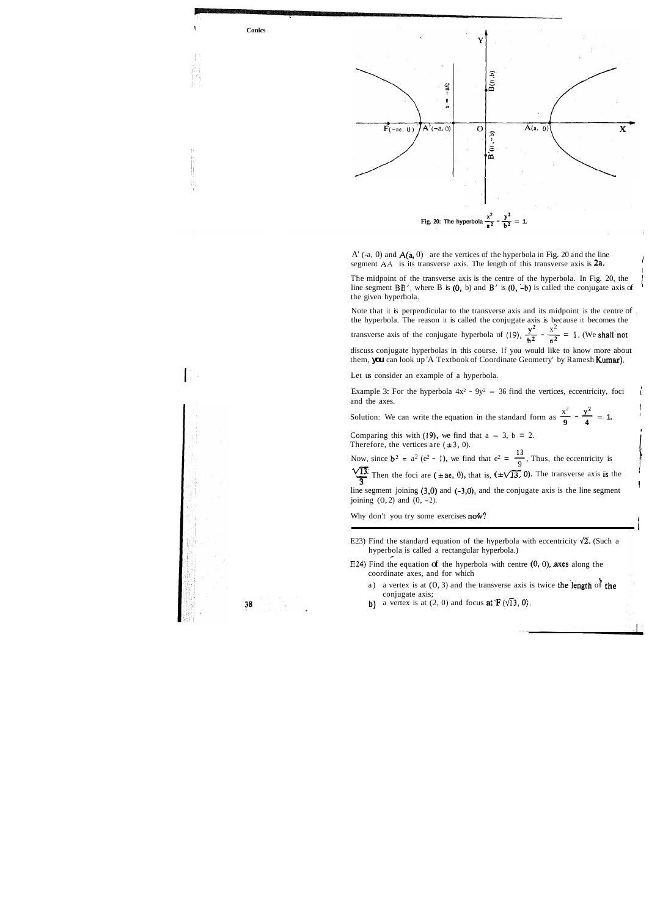<sup>1</sup>**Conics** 



 $A'$  (-a, 0) and  $A(a, 0)$  are the vertices of the hyperbola in Fig. 20 and the line segment  $AA$  is its transverse axis. The length of this transverse axis is  $2a$ .

I

The midpoint of the transverse axis is the centre of the hyperbola. In Fig. 20, the 1 line segment  $BB'$ , where B is  $(0, b)$  and B' is  $(0, -b)$  is called the conjugate axis of the given hyperbola.

**13**  Comparing this with (19), we find that  $a = 3$ ,  $b = 2$ .<br>Therefore, the vertices are  $(\pm 3, 0)$ .<br>Now, since  $b^2 = a^2 (e^2 - 1)$ , we find that  $e^2 = \frac{13}{9}$ , Thus, the eccentricity is  $\frac{\sqrt{13}}{3}$ . Then the foci are ( $\pm$ **ae.** 0), that is,  $(\pm \sqrt{13}, 0)$ . The transverse axis is the line segment joining  $(3,0)$  and  $(-3,0)$ , and the conjugate axis is the line segment joining  $(0, 2)$  and  $(0, -2)$ .

Why don't you try some exercises now?

- E23) Find the standard equation of the hyperbola with eccentricity  $\sqrt{2}$ . (Such a hyperbola is called a rectangular hyperbola.)
- $E24$ ) Find the equation of the hyperbola with centre  $(0, 0)$ , axes along the coordinate axes, and for which
	- a) a vertex is at  $(0, 3)$  and the transverse axis is twice the length of the conjugate axis;
	- **b)** a vertex is at  $(2, 0)$  and focus **at**  $\mathbf{F}(\sqrt{13}, 0)$ ,

38

Note that it is perpendicular to the transverse axis and its midpoint is the centre of . the hyperbola. The reason it is called the conjugate axis is because it becomes the  $y^2$   $x^2$ the hyperbola. The reason it is called the conjugate axis is because it becomes the transverse axis of the conjugate hyperbola of (19),  $\frac{y^2}{b^2} - \frac{x^2}{a^2} = 1$ . (We shall'not discuss conjugate hyperbolas in this course. If you would like to know more about

> f j.

them, **you** can look up 'A Textbook of Coordinate Geometry' by Ramesh Kumar),

Let us consider an example of a hyperbola.

Example 3: For the hyperbola  $4x^2 - 9y^2 = 36$  find the vertices, eccentricity, foci and the axes. Example 3: For the hyperbola  $4x^2 - 9y^2 = 36$  find the vertices, eccentricity, foci<br>and the axes.<br>Solution: We can write the equation in the standard form as  $\frac{x^2}{9} - \frac{y^2}{4} = 1$ .

 $x^2$   $y^2$  I

Comparing this with (19), we find that  $a = 3$ ,  $b = 2$ . Therefore, the vertices are  $(\pm 3, 0)$ .

i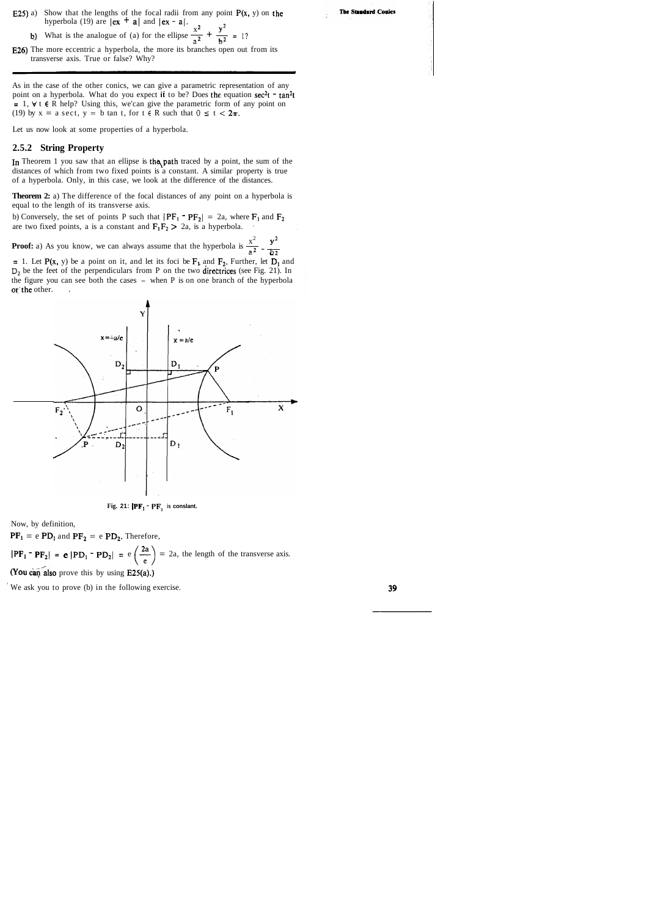- E25) a) Show that the lengths of the focal radii from any point  $P(x, y)$  on the hyperbola (19) are  $|ex + a|$  and  $|ex - a|$ .
	- b) What is the analogue of (a) for the ellipse  $\frac{x^2}{a^2} + \frac{y^2}{b^2} = 1$ ?
- E26) The more eccentric a hyperbola, the more its branches open out from its transverse axis. True or false? Why?

As in the case of the other conics, we can give a parametric representation of any point on a hyperbola. What do you expect it to be? Does the equation sec<sup>2</sup>t - tan<sup>2</sup>t  $= 1$ ,  $\forall$  **t**  $\in$  R help? Using this, we'can give the parametric form of any point on (19) by  $x = a \sec t$ ,  $y = b \tan t$ , for  $t \in R$  such that  $0 \le t < 2\pi$ .

In Theorem 1 you saw that an ellipse is the path traced by a point, the sum of the distances of which from two fixed points is a constant. A similar property is true of a hyperbola. Only, in this case, we look at the difference of the distances.

**Theorem 2:** a) The difference of the focal distances of any point on a hyperbola is equal to the length of its transverse axis.

b) Conversely, the set of points P such that  $|PF_1 - PF_2| = 2a$ , where  $F_1$  and  $F_2$ are two fixed points, a is a constant and  $F_1F_2 > 2a$ , is a hyperbola.

**Proof:** a) As you know, we can always assume that the hyperbola is  $\frac{x^2}{a^2} - \frac{y^2}{b^2}$ 

= 1. Let  $P(x, y)$  be a point on it, and let its foci be  $F_1$  and  $F_2$ . Further, let  $D_1$  and D<sub>2</sub> be the feet of the perpendiculars from P on the two directrices (see Fig. 21). In the figure you can see both the cases - when P is on one branch of the hyperbola or the other.



Let us now look at some properties of a hyperbola.

#### **2.5.2 String Property**



Now, by definition,

 $PF_1$  = e  $PD_1$  and  $PF_2$  = e  $PD_2$ . Therefore,

 $|\mathbf{PF_1 - PF_2}| = \mathbf{e} |\mathbf{PD_1 - PD_2}| = e \left(\frac{2a}{e}\right) = 2a$ , the length of the transverse axis. (You can also prove this by using  $E25(a)$ .)

We ask you to prove (b) in the following exercise.

39

**The Standard Conics**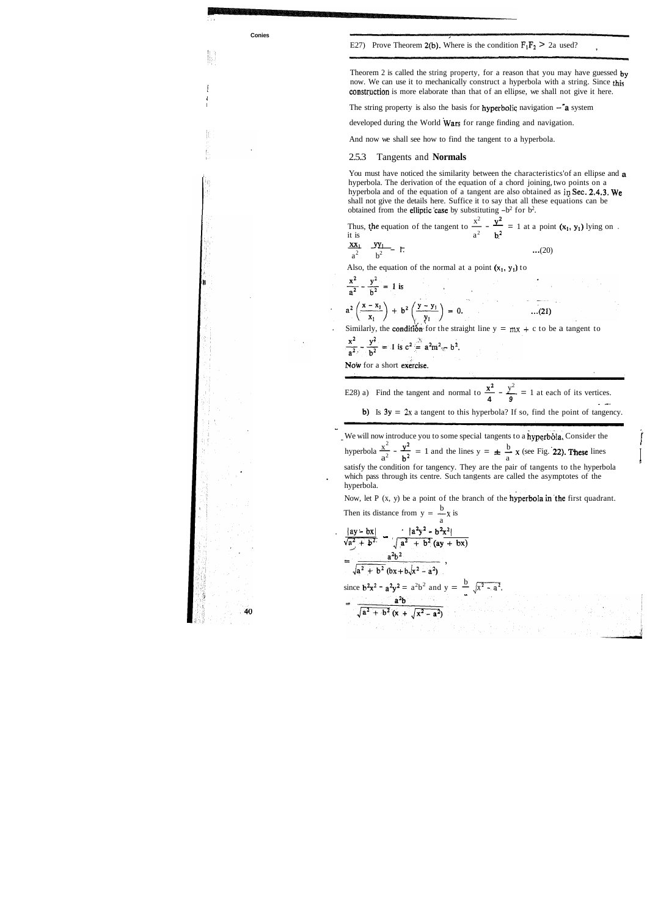E27) Prove Theorem 2(b). Where is the condition  $F_1F_2 > 2a$  used?

Theorem 2 is called the string property, for a reason that you may have guessed by now. We can use it to mechanically construct a hyperbola with a string. Since this construction is more elaborate than that of an ellipse, we shall not give it here.

The string property is also the basis for **hyperbolic** navigation  $-\hat{a}$  system



You must have noticed the similarity between the characteristics'of an ellipse and **a**  hyperbola. The derivation of the equation of a chord joining, two points on a hyperbola and of the equation of a tangent are also obtained as in Sec. 2.4.3. We

developed during the World Wars for range finding and navigation.

And now we shall see how to find the tangent to a hyperbola.

### 2.5.3 Tangents and **Normals**

| obtained from the elliptic case by substituting $-b^2$ for $b^2$ . | shall not give the details here. Suffice it to say that all these equations can be                                        |
|--------------------------------------------------------------------|---------------------------------------------------------------------------------------------------------------------------|
| it is                                                              | Thus, the equation of the tangent to $\frac{x^2}{ } - \frac{y^2}{ } = 1$ at a point $(x_1, y_1)$ lying on.<br>$a^2$ $h^2$ |
| $\frac{xx_1}{a^2}$ $\frac{yy_1}{b^2}$ T.                           | (20)                                                                                                                      |

Also, the equation of the normal at a point  $(x_1, y_1)$  to

$$
\frac{x^2}{a^2} - \frac{y^2}{b^2} = 1
$$
 is  
\na<sup>2</sup>  $\left(\frac{x - x_1}{x_1}\right) + b^2 \left(\frac{y - y_1}{y_1}\right) = 0.$  ...(21)  
\nSimilarly, the condition for the straight line  $y = mx + c$  to be a tangent to  
\n $\frac{x^2}{a^2} - \frac{y^2}{b^2} = 1$  is  $c^2 \stackrel{?}{=} a^2m^2 - b^2$ .  
\nNow for a short exercise.  
\nE28) a) Find the tangent and normal to  $\frac{x^2}{4} - \frac{y^2}{9} = 1$  at each of its vertices.  
\nb) Is  $3y = 2x$  a tangent to this hyperbola? If so, find the point of tangency.  
\nWe will now introduce you to some special tangents to a hyperbola. Consider the hyperbola  $\frac{x^2}{a^2} - \frac{y^2}{b^2} = 1$  and the lines  $y = \pm \frac{b}{a}x$  (see Fig. 22). These lines satisfy the condition for tangency. They are the pair of tangents to the hyperbola, which pass through its centre. Such tangents are called the asymptotes of the hyperbola.  
\nNow, let P (x, y) be a point of the branch of the hyperbola in the first quadrant.  
\nThen its distance from  $y = \frac{b}{a}x$  is  
\n
$$
\frac{[ay - bx]}{\sqrt{a^2 + b^2}} - \frac{[a^2y^2 - b^2x^2]}{\sqrt{a^2 + b^2}(ay + bx)}
$$
\n
$$
= \frac{a^2b^2}{\sqrt{a^2 + b^2}(x + \sqrt{x^2 - a^2})}.
$$
  
\nsince  $b^2x^2 - a^2y^2 = a^2b^2$  and  $y = \frac{b}{x}\sqrt{x^2 - a^2}$ .  
\n
$$
= \frac{a^2b}{\sqrt{a^2 + b^2}(x + \sqrt{x^2 - a^2})}.
$$

 $\prod_{\mathbf{r}}$ 

**V**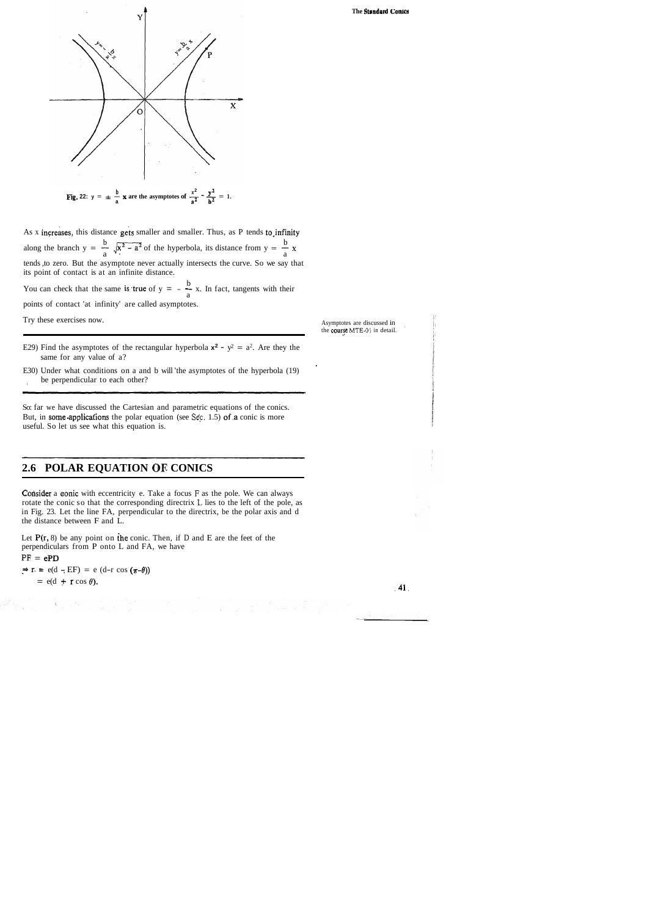

As x increases, this distance gets smaller and smaller. Thus, as P tends to infinity As x increases, this distance gets smaller and smaller. Thus, as P tends to infinity along the branch  $y = \frac{b}{a} \sqrt{x^2 - a^2}$  of the hyperbola, its distance from  $y = \frac{b}{a}x$ tends ,to zero. But the asymptote never actually intersects the curve. So we say that its point of contact is at an infinite distance.

its point of contact is at an infinite distance.<br>You can check that the same is **true** of  $y = -\frac{b}{a}x$ . In fact, tangents with their points of contact 'at infinity' are called asymptotes.

Try these exercises now. Asymptotes are discussed in

- E29) Find the asymptotes of the rectangular hyperbola  $x^2 y^2 = a^2$ . Are they the same for any value of a?
- E30) Under what conditions on a and b will 'the asymptotes of the hyperbola (19) be perpendicular to each other?

**Consider** a conic with eccentricity e. Take a focus  $F$  as the pole. We can always rotate the conic so that the corresponding directrix **L.** lies to the left of the pole, as in Fig. 23. Let the line FA, perpendicular to the directrix, be the polar axis and d the distance between F and L.

dia kaominina mpikambana amin'ny fivondronan-kaominin'i Eure<br>Jeografia

Let  $P(r, 8)$  be any point on the conic. Then, if D and E are the feet of the perpendiculars from P onto L and FA, we have  $PF = ePD$ 

 $\Rightarrow$  r. = e(d - EF) = e (d-r cos ( $\pi$ - $\theta$ ))<br>= e(d + r cos  $\theta$ ).

 $\label{eq:2} \mathcal{L}(\mathbf{V}) = \mathcal{L}(\mathbf{V}) = \mathcal{L}(\mathbf{V})$ 

 $=$  e(d – EF) = e (d–r cos  $(\pi$ -*b*))<br>  $=$  e(d + r cos *θ*).

 $\int\limits_{\mathcal{X}}\frac{d\mathcal{X}}{d\mathcal{X}}\,d\mathcal{X}=\int\limits_{\mathcal{X}}\frac{d\mathcal{X}}{d\mathcal{X}}$ 

**The Standard Conics** 

the **course** MTE-01 in detail.

So: far we have discussed the Cartesian and parametric equations of the conics. But, in some applications the polar equation (see Sec. 1.5) of a conic is more useful. So let us see what this equation is.

### **2.6 POLAR EQUATION OF. CONICS**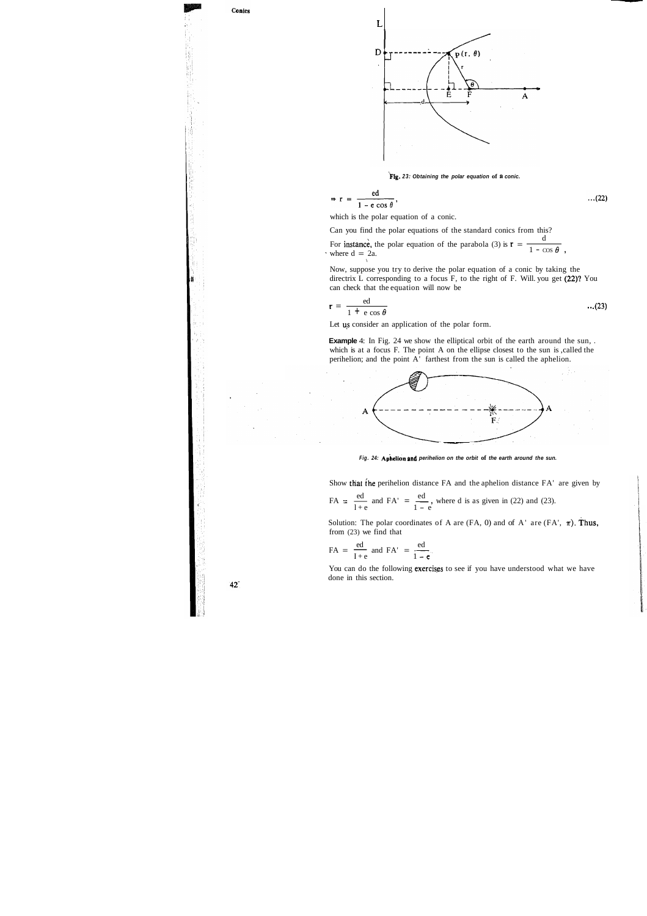



**big. 23: Obtaining the polar equation of s conic.** 

$$
\Rightarrow r = \frac{ed}{1 - e \cos \theta}, \qquad ...(22)
$$

which is the polar equation of a conic.

Can you find the polar equations of the standard conics from this?

For instance, the polar equation of the parabola (3) is  $\mathbf{r} = \frac{d}{d}$ For instance, the polar equation of the parabola (3) is  $\mathbf{r} = \frac{\mathbf{r} - \mathbf{r}}{1 - \cos \theta}$ ,<br>where  $\mathbf{d} = 2\mathbf{a}$ .

Now, suppose you try to derive the polar equation of a conic by taking the directrix L corresponding to a focus F, to the right of F. Will. you get (22)? You can check that the equation will now be

**Example** 4: In Fig. 24 we show the elliptical orbit of the earth around the sun, . which is at a focus F. The point A on the ellipse closest to the sun is , called the perihelion; and the point A' farthest from the sun is called the aphelion.



Fig. 24: Aphelion and perihelion on the orbit of the earth around the sun.

Show that the perihelion distance FA and the aphelion distance FA' are given by

$$
r = \frac{ed}{1 + e \cos \theta} \tag{23}
$$

Let us consider an application of the polar form.

You can do the following exercises to see if you have understood what we have done in this section.

 $42<sup>°</sup>$ 

Show that the perihelion distance FA and the aphelion distance FA'  
FA = 
$$
\frac{ed}{1+e}
$$
 and FA' =  $\frac{ed}{1-e}$ , where d is as given in (22) and (23).

Solution: The polar coordinates of A are  $(FA, 0)$  and of A' are  $(FA', \pi)$ . Thus, from (23) we find that Solution: The polar coordinate<br>from (23) we find that<br>FA =  $\frac{ed}{I+e}$  and FA' =  $\frac{ed}{I-1}$ 

$$
FA = \frac{ed}{I+e} \text{ and } FA' = \frac{ed}{1-e}.
$$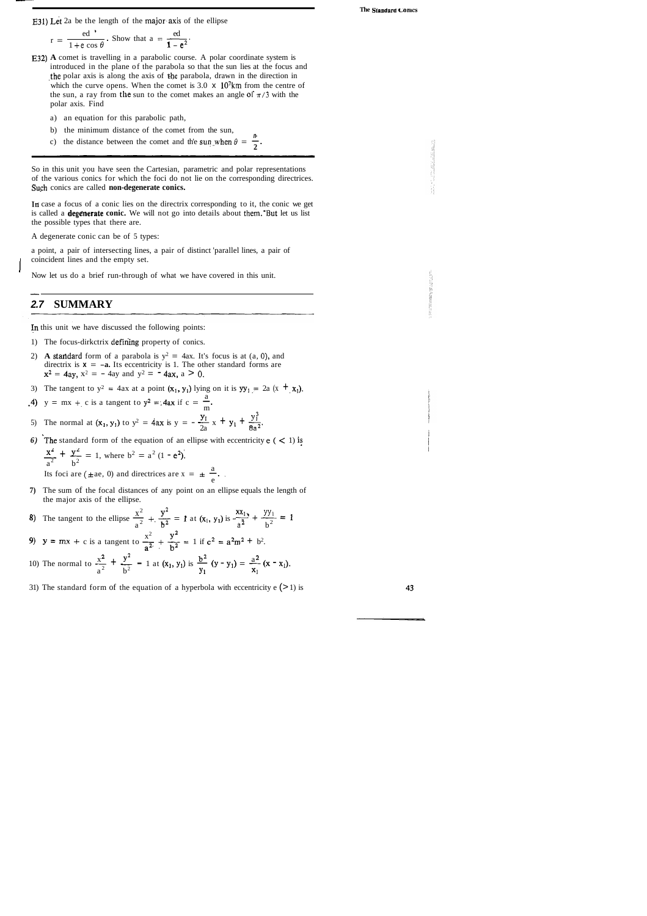- E32) **A** comet is travelling in a parabolic course. A polar coordinate system is introduced in the plane of the parabola so that the sun lies at the focus and the polar axis is along the axis of the parabola, drawn in the direction in which the curve opens. When the comet is 3.0  $\times$  10<sup>7</sup>km from the centre of the sun, a ray from the sun to the comet makes an angle of  $\pi/3$  with the polar axis. Find
	- a) an equation for this parabolic path,
	- b) the minimum distance of the comet from the sun,
	- c) the distance between the comet and the sun, when  $\theta = \frac{\pi}{2}$ .

$$
r = \frac{ed}{1 + e \cos \theta}
$$
. Show that  $a = \frac{ed}{1 - e^2}$ .

In case a focus of a conic lies on the directrix corresponding to it, the conic we get is called a **degenerate conic.** We will not go into details about them. But let us list the possible types that there are.

a point, a pair of intersecting lines, a pair of distinct 'parallel lines, a pair of coincident lines and the empty set.

- 1) The focus-dirkctrix defin'ing property of conics.
- 2) **A standard** form of a parabola is  $y^2 = 4ax$ . It's focus is at (a, 0), and directrix is  $x = -a$ . Its eccentricity is 1. The other standard forms are  $x^2 = 4ay$ ,  $x^2 = -4ay$  and  $y^2 = -4ax$ ,  $a > 0$ .
- 3) The tangent to  $y^2 = 4ax$  at a point  $(x_1, y_1)$  lying on it is  $yy_1 = 2a (x + x_1)$ .
- a 3) The tangent to  $y^2 = 4ax$  at a point  $(x_1, y_1)$  lying c<br>
4)  $y = mx + c$  is a tangent to  $y^2 = 4ax$  if  $c = \frac{a}{m}$ .
- 4)  $y = mx + c$  is a tangent to  $y^2 = 4ax$  if  $c = \frac{a}{m}$ .<br>5) The normal at  $(x_1, y_1)$  to  $y^2 = 4ax$  is  $y = -\frac{y_1}{2a}x + y_1 + \frac{y_1^3}{8a^2}$
- 6) The standard form of the equation of an ellipse with eccentricity  $e \, (<\, 1)$  is

So in this unit you have seen the Cartesian, parametric and polar representations of the various conics for which the foci do not lie on the corresponding directrices. Such conics are called **non-degenerate conics.** 

A degenerate conic can be of 5 types:

Now let us do a brief run-through of what we have covered in this unit.

### **2.7 SUMMARY**

In this unit we have discussed the following points:

a

The normal at (a<sub>1</sub>, y<sub>1</sub>), (b<sub>2</sub>) = 4a<sup>2</sup> b<sup>3</sup> = -2a<sup>3</sup> +  
\nThe standard form of the equation of an ellipse with  
\n
$$
\frac{x^2}{a^2} + \frac{y^2}{b^2} = 1
$$
\nwhere  $b^2 = a^2 (1 - e^2)$ .  
\nIts foci are ( $\pm ae$ , 0) and directrices are  $x = \pm \frac{a}{e}$ .

e

7) The sum of the focal distances of any point on an ellipse equals the length<br>the major axis of the ellipse.<br>8) The tangent to the ellipse  $\frac{x^2}{a^2} + \frac{y^2}{b^2} = 1$  at  $(x_1, y_1)$  is  $-\frac{x^2}{a^2} + \frac{yy_1}{b^2} = 1$ 8) The tangent to the ellipse  $\frac{x^2}{a^2} + \frac{y^2}{b^2} = 1$  at  $(x_1, y_1)$  is  $-\frac{xx_1}{a^2} + \frac{y_1}{b^2}$ <br>
9)  $y = mx + c$  is a tangent to  $\frac{x^2}{a^2} + \frac{y^2}{b^2} = 1$  if  $c^2 = a^2m^2 + b^2$ .

9) 
$$
y = mx + c
$$
 is a tangent to  $\frac{x^2}{a^2} + \frac{y^2}{b^2} = 1$  if  $c^2 = a^2m^2 + b^2$ .

**7)** The sum of the focal distances of any point on an ellipse equals the length of the major axis of the ellipse.

9) 
$$
y = mx + c
$$
 is a tangent to  $\frac{x^2}{a^2} + \frac{y^2}{b^2} = 1$  if  $c^2 = a^2m^2 + b^2$ .  
10) The normal to  $\frac{x^2}{a^2} + \frac{y^2}{b^2} = 1$  at  $(x_1, y_1)$  is  $\frac{b^2}{y_1}(y - y_1) = \frac{a^2}{x_1}(x - x_1)$ .

31) The standard form of the equation of a hyperbola with eccentricity  $e$  (>1) is

43

**The Standara conics** 

E31) Let 2a be the length of the major axis of the ellipse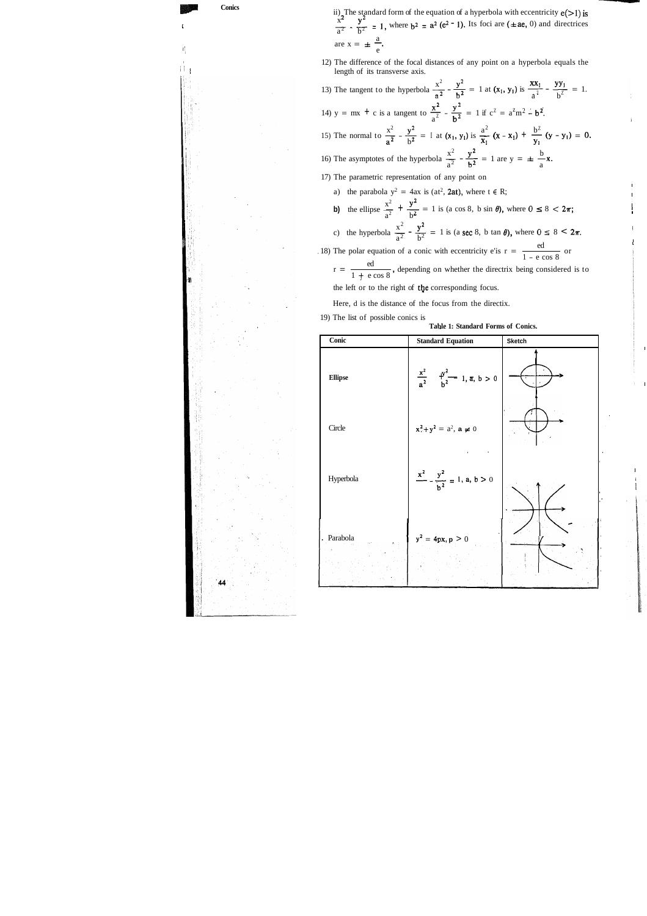**P Conics**  (  $\mathfrak{c}$ I ,  $\Box$ 

ii) The standard form of the equation of a hyperbola with eccentricity  $e(>1)$  is  $\frac{x^2}{a^2} - \frac{y^2}{b^2} = 1$ , where  $b^2 = a^2 (e^2 - 1)$ . Its foci are  $(\pm ae, 0)$  and directrices  $\frac{a^2}{a^2} - \frac{b^2}{b^2} = 1,$ <br>are  $x = \pm \frac{a}{e}$ .

\_\_\_LI

12) The difference of the focal distances of any point on a hyperbola equals the length of its transverse axis.

 $x^2$   $y^2$   $1$  of  $(x, y)$  is  $\frac{xx_1}{x_2}$   $yy_1$ 12) The difference of the focal distances of any point on a hyperbola equals the length of its transverse axis.<br>
13) The tangent to the hyperbola  $\frac{x^2}{a^2} - \frac{y^2}{b^2} = 1$  at  $(x_1, y_1)$  is  $\frac{xx_1}{a^2} - \frac{yy_1}{b^2} = 1$ . 13) The tangent to the hyperbola  $\frac{x^2}{a^2} - \frac{y^2}{b^2} = 1$  a<br>14) y = mx + c is a tangent to  $\frac{x^2}{a^2} - \frac{y^2}{b^2} = 1$  if  $\frac{x}{a^2} - \frac{y}{b^2} = 1$  if  $c^2 = a^2 m^2 - b^2$ .  $x^2$   $y^2$   $\frac{1}{2}$   $\frac{1}{2}$   $\frac{1}{2}$   $\frac{a^2}{2}$   $\frac{b^2}{2}$ 14)  $y = mx + c$  is a tangent to  $\frac{x^2}{a^2} - \frac{y^2}{b^2} = 1$  if  $c^2 = a^2m^2 - b^2$ .<br>
15) The normal to  $\frac{x^2}{a^2} - \frac{y^2}{b^2} = I$  at  $(x_1, y_1)$  is  $\frac{a^2}{x_1}(x - x_1) + \frac{b^2}{y_1}(y - y_1) = 0$ .  $x_1$  b<sup>2</sup>  $x_1$   $x_2$   $y_1$   $y_1$ <br>b 15) The normal to  $\frac{x^2}{a^2} - \frac{y^2}{b^2} = I$  at  $(x_1, y_1)$  is  $\frac{a^2}{x_1} (x - x_1) + \frac{b^2}{y_1}$ <br>16) The asymptotes of the hyperbola  $\frac{x^2}{a^2} - \frac{y^2}{b^2} = 1$  are  $y = \pm \frac{b}{a}$ 17) The parametric representation of any point on a) the parabola  $y^2 = 4ax$  is (at<sup>2</sup>, 2at), where  $t \in R$ ; **b)** the ellipse  $\frac{x^2}{a^2} + \frac{y^2}{b^2} = 1$  is (a cos 8, b sin  $\theta$ ), where  $0 \le 8 < 2\pi$ ;  $x^2$   $y^2$  1 is (2,222 b ton 0) where  $0 \neq 2$   $-1$ b) the ellipse  $\frac{x^2}{a^2} + \frac{y^2}{b^2} = 1$  is (a cos 8, b sin  $\theta$ ), where  $0 \le 8 < 2\pi$ ;<br>c) the hyperbola  $\frac{x^2}{a^2} - \frac{y^2}{b^2} = 1$  is (a sec 8, b tan  $\theta$ ), where  $0 \le 8 < 2\pi$ . . 18) The polar equation of a conic with eccentricity e'is  $r = \frac{ed}{1 - e \cos 8}$  or

 $r = \frac{ed}{1 + e \cos 8}$ , depending on whether the directrix being considered is to

**Table 1: Standard Forms of Conics.** 

the left or to the right of the corresponding focus.

l

Here, d is the distance of the focus from the directix.

19) The list of possible conics is

| Conic                       | <b>Standard Equation</b>                               | <b>Sketch</b> |  |
|-----------------------------|--------------------------------------------------------|---------------|--|
| $Ellipse$                   | $\frac{x^2}{a^2}$ $\frac{y^2}{b^2}$ 1, $\pi$ , $b > 0$ |               |  |
| Circle                      | $x^2 + y^2 = a^2$ , a $\neq 0$                         |               |  |
| Hyperbola                   | $\frac{x^2}{b^2} - \frac{y^2}{b^2} = 1$ , a, b > 0     |               |  |
| . Parabola<br>$\mathcal{E}$ | $y^2 = 4px, p > 0$                                     |               |  |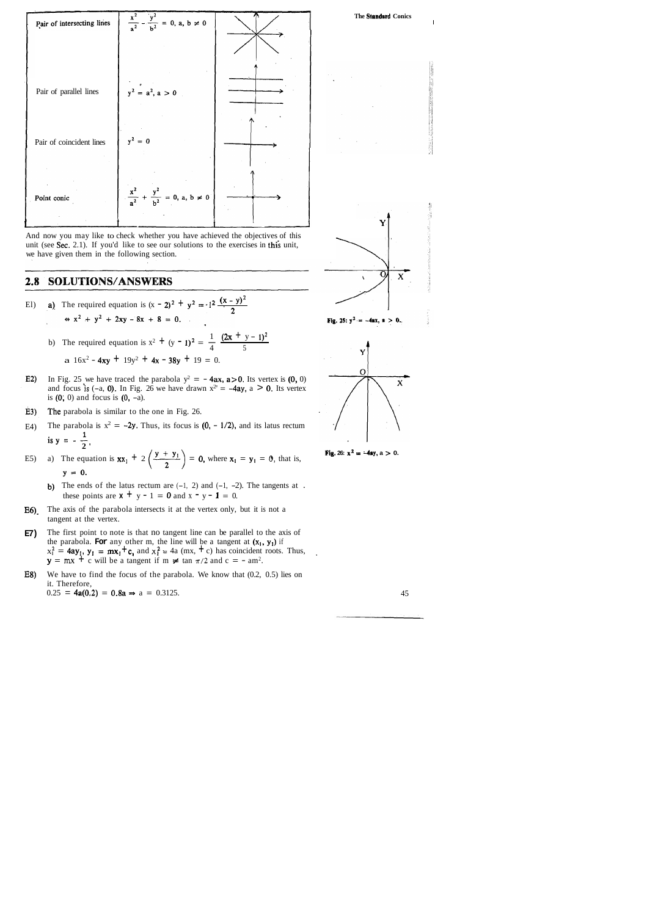











**Fig.** 26:  $x^2 = -4ay$ ,  $a > 0$ .

And now you may like to check whether you have achieved the objectives of this unit (see Sec. 2.1). If you'd like to see our solutions to the exercises in this unit, we have given them in the following section.

#### SOLUTIONS/ANSWERS 2.8

- **2**(x y)<sup>2</sup> **a**) The required equation is  $(x 2)^2 + y^2 = -1^2 \frac{(x y)^2}{2}$ 
	- ⇒  $x^2 + y^2 + 2xy 8x + 8 = 0.$ <br>
	b) The required equation is  $x^2 + (y 1)^2 = \frac{1}{4} \frac{(2x + y 1)^2}{5}$ 
		- a  $16x^2 4xy + 19y^2 + 4x 38y + 19 = 0$ .
- In Fig. 25 we have traced the parabola  $y^2 = -4ax$ ,  $a > 0$ . Its vertex is (0, 0)  $E2$ and focus is  $(-a, 0)$ . In Fig. 26 we have drawn  $x^2 = -4ay$ ,  $a > 0$ . Its vertex is  $(0, 0)$  and focus is  $(0, -a)$ .
- $E3)$ The parabola is similar to the one in Fig. 26.
- E4) The parabola is  $x^2 = -2y$ . Thus, its focus is  $(0, -1/2)$ , and its latus rectum is  $y = -\frac{1}{2}$
- E5) a) The equation is  $xx_1 + 2\left(\frac{y + y_1}{2}\right) = 0$ , where  $x_1 = y_1 = 0$ , that is,  $y = 0$ .
	- b) The ends of the latus rectum are  $(-1, 2)$  and  $(-1, -2)$ . The tangents at . these points are  $x + y - 1 = 0$  and  $x - y - 1 = 0$ .
- E6). The axis of the parabola intersects it at the vertex only, but it is not a tangent at the vertex.
- **E7)** The first point to note is that no tangent line can be parallel to the axis of the parabola. **For** any other m, the line will be a tangent at  $(x_1, y_1)$  if  $x_1^2 = 4ay_1$ ,  $y_1 = mx_1 + c$ , and  $x_1^2 = 4a$  (mx,  $+c$ ) has coincident roots. Thus,  $y = mx + c$  will be a tangent if  $m \neq tan \pi/2$  and  $c = - am^2$ .
- E8) We have to find the focus of the parabola. We know that (0.2, 0.5) lies on it. Therefore,  $0.25 = 4a(0.2) = 0.8a \Rightarrow a = 0.3125.$  45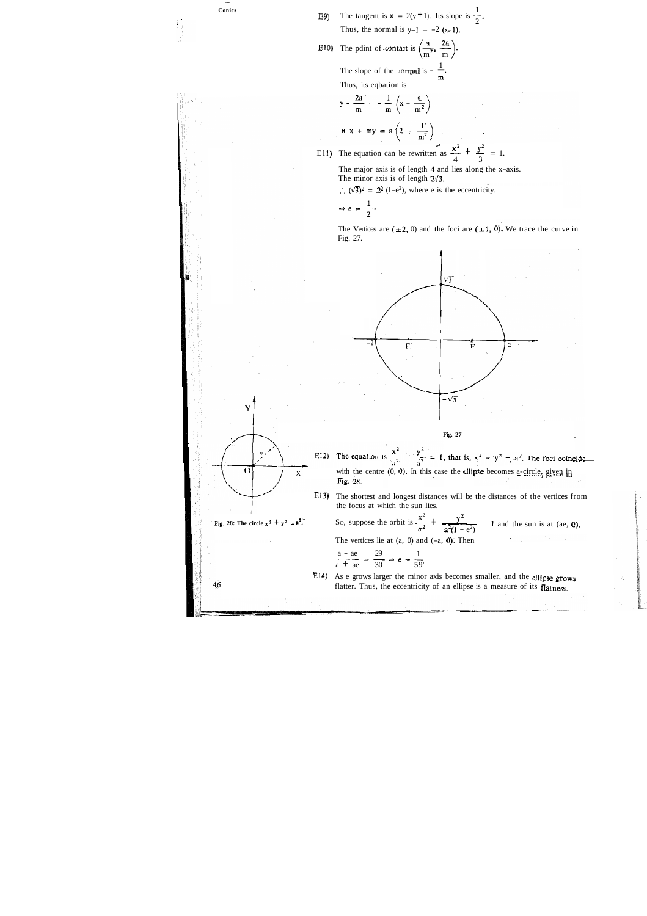E9) The tangent is  $x = 2(y + 1)$ . Its slope is  $\frac{1}{2}$ Thus, the normal is  $y-1 = -2(x-1)$ .

E10) The pdint of contact is  $\left(\frac{m}{m^2}, \frac{m}{m}\right)$ The slope of the normal is  $-\frac{1}{m}$ .

-- - **Conics** 

i<br>III

The major axis is of length 4 and lies along the x-axis. The minor axis is of length  $2\sqrt{3}$ .

 $\therefore$   $(\sqrt{3})^2 = 2^2$  (I-e<sup>2</sup>), where e is the eccentricity.

Thus, its eqbation is

$$
y - \frac{2a}{m} = -\frac{1}{m} \left( x - \frac{a}{m^2} \right)
$$
  

$$
\Rightarrow x + mx = a \left( 2 + \frac{1}{m^2} \right)
$$

$$
\Rightarrow x + my = a \left(2 + \frac{1}{m^2}\right)
$$
  
E11) The equation can be rewritten as  $\frac{x^2}{4} + \frac{y^2}{3} = 1$ .

The Vertices are  $(\pm 2, 0)$  and the foci are  $(\pm 1, 0)$ . We trace the curve in Fig. 27.

$$
\Rightarrow e = \frac{1}{2}
$$

**E14)** As e grows larger the minor axis becomes smaller, and the ellipse grows flatter. Thus, the eccentricity of an ellipse is a measure of its flatness.

Y น  $\overline{O}$  $\mathbf{x}$ 46





E13) The shortest and longest distances will be the distances of the vertices from the focus at which the sun lies.

Fig. 28: The circle  $x^2 + y^2 = x^2$ . So, suppose the orbit is  $\frac{x^2}{a^2} + \frac{y^2}{a^2(1 - e^2)} = 1$  and the sun is at (ae, 0). The vertices lie at  $(a, 0)$  and  $(-a, 0)$ . Then

$$
\frac{a - ae}{a + ae} = \frac{29}{30} \Rightarrow e = \frac{1}{59}
$$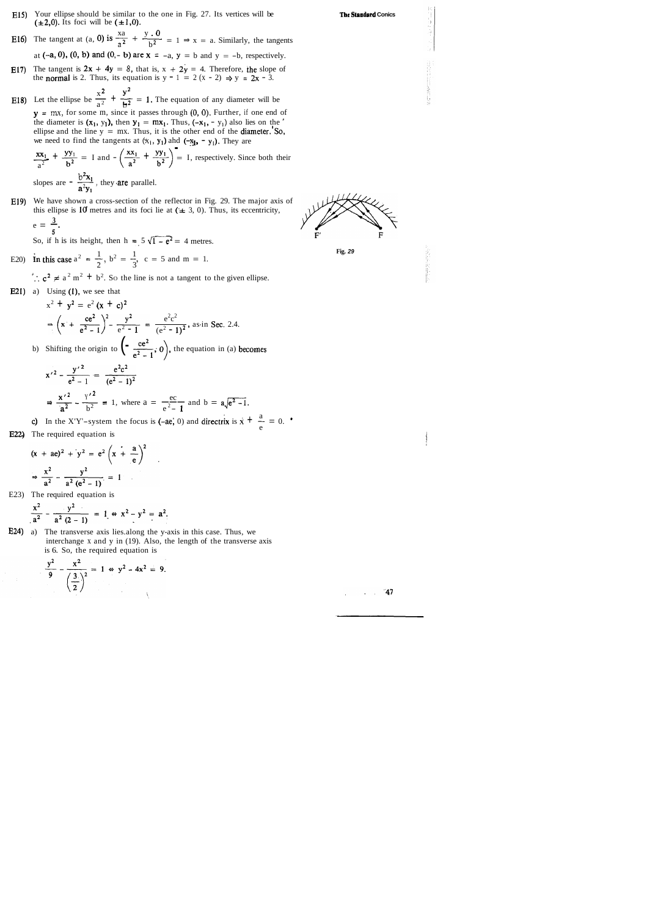- ~15) Your ellipse should be similar to the one in Fig. 27. Its vertices will be  $(\pm 2,0)$ . Its foci will be  $(\pm 1,0)$ .
- **E16)** The tangent at (a, 0) is  $\frac{xa}{a^2} + \frac{y \cdot 0}{b^2} = 1 \Rightarrow x = a$ . Similarly, the tangents

at  $(-a, 0)$ ,  $(0, b)$  and  $(0, -b)$  are  $x = -a$ ,  $y = b$  and  $y = -b$ , respectively.

- **E17)** The tangent is  $2x + 4y = 8$ , that is,  $x + 2y = 4$ . Therefore, the slope of the normal is 2. Thus, its equation is  $y - 1 = 2(x - 2) \Rightarrow y = 2x - 3$ .
- E17) The tangent is  $2x + 4y = 8$ , that is,  $x + 2y = 4$ . Therefore, the slope c<br>the **normal** is 2. Thus, its equation is  $y 1 = 2(x 2) \Rightarrow y = 2x 3$ .<br>E18) Let the ellipse be  $\frac{x^2}{a^2} + \frac{y^2}{b^2} = 1$ . The equation of any diam  $y = mx$ , for some m, since it passes through  $(0, 0)$ . Further, if one end of the diameter is  $(x_1, y_1)$ , then  $y_1 = mx_1$ . Thus,  $(-x_1, -y_1)$  also lies on the

ellipse and the line  $y = mx$ . Thus, it is the other end of the **diameter.**'So, we need to find the tangents at  $(\mathbf{x}_1, \mathbf{y}_1)$  ahd  $(-\mathbf{x}_1, -\mathbf{y}_1)$ . They are  $(\mathbf{x}_2, \mathbf{y}_1)$ .  $(\mathbf{x}_3, \mathbf{y}_2)$ 

$$
\frac{xx_1}{a^2} + \frac{yy_1}{b^2} = I \text{ and } -\left(\frac{xx_1}{a^2} + \frac{yy_1}{b^2}\right) = I, \text{ respectively. Since both their slopes are } -\frac{b^2x_1}{a^2y_1}, \text{ they are parallel.}
$$

E19) We have shown a cross-section of the reflector in Fig. 29. The major axis of this ellipse is 10 metres and its foci lie at  $(\pm 3, 0)$ . Thus, its eccentricity,  $e = \frac{3}{5}$ . **3** 

$$
e=\frac{3}{5}.
$$

**5**<br>So, if h is its height, then h =  $5\sqrt{1-e^2}$  = 4 metres.

E20) In this case 
$$
a^2 = \frac{1}{2}
$$
,  $b^2 = \frac{1}{3}$ ,  $c = 5$  and  $m = 1$ .

 $\therefore$   $c^2 \neq a^2$  m<sup>2</sup> + b<sup>2</sup>. So the line is not a tangent to the given ellipse.

E21) a) Using (I), we see that

$$
x^{2} + y^{2} = e^{2} (x + c)^{2}
$$
  
\n
$$
\Rightarrow (x + \frac{ce^{2}}{e^{2} - 1})^{2} - \frac{y^{2}}{e^{2} - 1} = \frac{e^{2}c^{2}}{(e^{2} - 1)^{2}}, \text{ as in Sec. 2.4.}
$$
  
\n(b) Shifting the origin to  $\left(-\frac{ce^{2}}{e^{2} - 1}, 0\right)$ , the equation in (a) becomes  
\n
$$
x'^{2} - \frac{y'^{2}}{e^{2} - 1} = \frac{e^{2}c^{2}}{(e^{2} - 1)^{2}}
$$

$$
\Rightarrow \frac{{x'}^2}{a^2} - \frac{y'}{b^2} = 1, \text{ where } a = \frac{ec}{e^2 - 1} \text{ and } b = a\sqrt{e^2 - 1}.
$$

- $\frac{a^2}{a^2} \frac{b^2}{b^2} = 1$ , where  $a = \frac{c^2 1}{e^2 1}$  and  $b = a\sqrt{e^2 1}$ .<br>
c) In the X'Y<sup>t</sup>-system the focus is (-ae, 0) and directrix is  $\dot{x} + \frac{a}{e} = 0$ .
- E22) The required equation is

$$
(x + ae)^2 + y^2 = e^2 \left(x + \frac{a}{e}\right)^2
$$
  

$$
\Rightarrow \frac{x^2}{a^2} - \frac{y^2}{a^2 (e^2 - 1)} = 1
$$

E23) The required equation is

$$
\frac{x^2}{a^2} - \frac{y^2}{a^2 (2-1)} = 1 \Leftrightarrow x^2 - y^2 = a^2.
$$

E24) a) The transverse axis lies. along the y-axis in this case. Thus, we interchange x and y in (19). Also, the length of the transverse axis is 6. So, the required equation is

$$
\frac{y^2}{9} - \frac{x^2}{\left(\frac{3}{2}\right)^2} = 1 \Leftrightarrow y^2 - 4x^2 = 9.
$$

**The Standard Conics** 





 $-47$ 

 $\Delta \sim 10^7$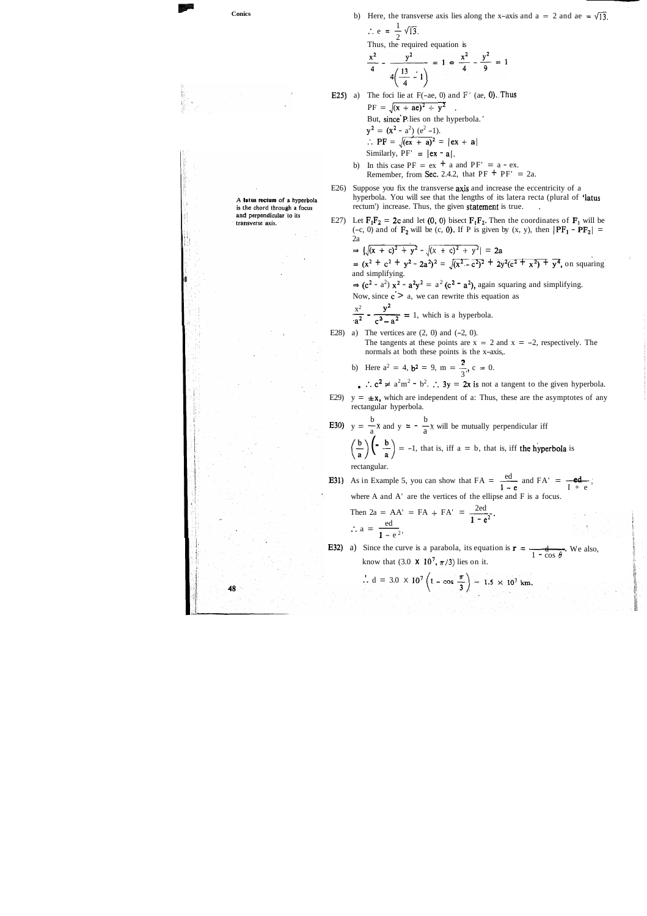Conics

\nb) Here, the transverse axis lies along the x-axis and a = 2 and ae = √13, ∴ c = 
$$
\frac{1}{2}\sqrt{13}
$$
. Thus, the required equation is

\n $\frac{x^2}{4} - \frac{y^2}{\sqrt{1^2 - 1}} = 1$ ,  $\frac{x^2}{4} - \frac{y^2}{9} = 1$ 

\nExample 22.2.3

\n10. The fact,  $\frac{1}{2}$  is a constant,  $\frac{1}{2}$ ,  $\frac{1}{2}$ ,  $\frac{1}{2}$ ,  $\frac{1}{2}$ ,  $\frac{1}{2}$ ,  $\frac{1}{2}$ ,  $\frac{1}{2}$ ,  $\frac{1}{2}$ ,  $\frac{1}{2}$ ,  $\frac{1}{2}$ ,  $\frac{1}{2}$ ,  $\frac{1}{2}$ ,  $\frac{1}{2}$ ,  $\frac{1}{2}$ ,  $\frac{1}{2}$ ,  $\frac{1}{2}$ ,  $\frac{1}{2}$ ,  $\frac{1}{2}$ ,  $\frac{1}{2}$ ,  $\frac{1}{2}$ ,  $\frac{1}{2}$ ,  $\frac{1}{2}$ ,  $\frac{1}{2}$ ,  $\frac{1}{2}$ ,  $\frac{1}{2}$ ,  $\frac{1}{2}$ ,  $\frac{1}{2}$ ,  $\frac{1}{2}$ ,  $\frac{1}{2}$ ,  $\frac{1}{2}$ ,  $\frac{1}{2}$ ,  $\frac{1}{2}$ ,  $\frac{1}{2}$ ,  $\frac{1}{2}$ ,  $\frac{1}{2}$ ,  $\frac{1}{2}$ ,  $\frac{1}{2}$ ,  $\frac{1}{2}$ ,  $\frac{1}{2}$ ,  $\frac{1}{2}$ ,  $\frac{1}{2}$ ,  $\frac{1}{2}$ ,  $\frac{1}{2}$ ,  $\frac{1}{2}$ ,  $\frac{1}{2}$ ,  $\frac{1}{2}$ ,  $\frac{1}{2}$ ,  $\frac{1}{2}$ ,  $\frac{1}{2}$ ,  $\frac{1}{2}$ ,  $\frac{1}{2}$ ,  $\frac{1}{2}$ ,  $\frac{1}{2}$ ,  $\frac{1}{2}$ ,  $\$ 

 $\mathcal{D}^{\text{c}}(\mathcal{F})$  $\lambda_1^2=\frac{1}{2}$ 

**大阪のある しょうかん あいままのある** 

 $\hat{\psi}$